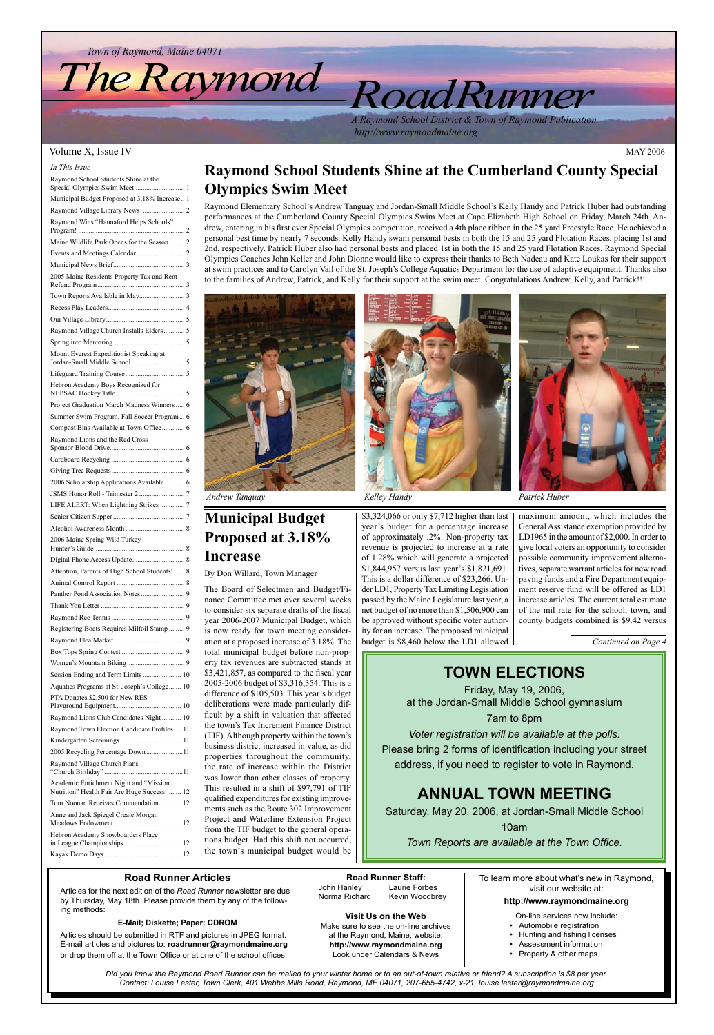**Visit Us on the Web** Make sure to see the on-line archives at the Raymond, Maine, website: **http://www.raymondmaine.org** Look under Calendars & News

**Road Runner Staff:** John Hanley Laurie Forbes Norma Richard Kevin Woodbrey

### **Road Runner Articles**

Articles for the next edition of the *Road Runner* newsletter are due by Thursday, May 18th. Please provide them by any of the following methods:

#### **E-Mail; Diskette; Paper; CDROM**

Articles should be submitted in RTF and pictures in JPEG format. E-mail articles and pictures to: **roadrunner@raymondmaine.org** or drop them off at the Town Office or at one of the school offices.

To learn more about what's new in Raymond, visit our website at: **http://www.raymondmaine.org**

On-line services now include:

- Automobile registration
- Hunting and fishing licenses
- Assessment information
- Property & other maps

*Road Runner*

#### Volume X, Issue IV MAY 2006

*Town of Raymond, Maine 04071*

# *The Raymond*

*Did you know the Raymond Road Runner can be mailed to your winter home or to an out-of-town relative or friend? A subscription is \$8 per year. Contact: Louise Lester, Town Clerk, 401 Webbs Mills Road, Raymond, ME 04071, 207-655-4742, x-21, louise.lester@raymondmaine.org*

*A Raymond School District & Town of Raymond Publication http://www.raymondmaine.org*

| In This Issue                                  |
|------------------------------------------------|
| Raymond School Students Shine at the           |
| Municipal Budget Proposed at 3.18% Increase 1  |
|                                                |
| Raymond Wins "Hannaford Helps Schools"         |
| Maine Wildlife Park Opens for the Season 2     |
|                                                |
|                                                |
| 2005 Maine Residents Property Tax and Rent     |
|                                                |
|                                                |
|                                                |
| Raymond Village Church Installs Elders 5       |
|                                                |
| Mount Everest Expeditionist Speaking at        |
|                                                |
| Hebron Academy Boys Recognized for             |
| Project Graduation March Madness Winners  6    |
| Summer Swim Program, Fall Soccer Program 6     |
| Compost Bins Available at Town Office 6        |
| Raymond Lions and the Red Cross                |
|                                                |
|                                                |
| 2006 Scholarship Applications Available  6     |
|                                                |
| LIFE ALERT: When Lightning Strikes  7          |
|                                                |
|                                                |
| 2006 Maine Spring Wild Turkey                  |
|                                                |
| Attention, Parents of High School Students!  8 |
|                                                |
|                                                |
|                                                |
|                                                |
| Registering Boats Requires Milfoil Stamp  9    |
|                                                |
|                                                |
|                                                |
|                                                |
| Aquatics Programs at St. Joseph's College 10   |
| PTA Donates \$2,500 for New RES                |
| Raymond Lions Club Candidates Night  10        |
| Raymond Town Election Candidate Profiles 11    |
|                                                |
|                                                |
| 2005 Recycling Percentage Down11               |

"Church Birthday" .............................................11

| Academic Enrichment Night and "Mission"<br>Nutrition" Health Fair Are Huge Success! 12 |  |
|----------------------------------------------------------------------------------------|--|
| Tom Noonan Receives Commendation 12                                                    |  |
| Anne and Jack Spiegel Create Morgan                                                    |  |
| Hebron Academy Snowboarders Place                                                      |  |
|                                                                                        |  |

### **TOWN ELECTIONS**

Friday, May 19, 2006, at the Jordan-Small Middle School gymnasium

7am to 8pm

*Voter registration will be available at the polls.* Please bring 2 forms of identification including your street address, if you need to register to vote in Raymond.

### **ANNUAL TOWN MEETING**

Saturday, May 20, 2006, at Jordan-Small Middle School

10am

*Town Reports are available at the Town Office.*

### **Raymond School Students Shine at the Cumberland County Special Olympics Swim Meet**

Raymond Elementary School's Andrew Tanguay and Jordan-Small Middle School's Kelly Handy and Patrick Huber had outstanding performances at the Cumberland County Special Olympics Swim Meet at Cape Elizabeth High School on Friday, March 24th. Andrew, entering in his first ever Special Olympics competition, received a 4th place ribbon in the 25 yard Freestyle Race. He achieved a personal best time by nearly 7 seconds. Kelly Handy swam personal bests in both the 15 and 25 yard Flotation Races, placing 1st and 2nd, respectively. Patrick Huber also had personal bests and placed 1st in both the 15 and 25 yard Flotation Races. Raymond Special Olympics Coaches John Keller and John Dionne would like to express their thanks to Beth Nadeau and Kate Loukas for their support at swim practices and to Carolyn Vail of the St. Joseph's College Aquatics Department for the use of adaptive equipment. Thanks also to the families of Andrew, Patrick, and Kelly for their support at the swim meet. Congratulations Andrew, Kelly, and Patrick!!!



*Andrew Tanquay Kelley Handy Patrick Huber*

### **Municipal Budget Proposed at 3.18% Increase**

### By Don Willard, Town Manager

The Board of Selectmen and Budget/Finance Committee met over several weeks to consider six separate drafts of the fiscal year 2006-2007 Municipal Budget, which is now ready for town meeting consideration at a proposed increase of 3.18%. The total municipal budget before non-property tax revenues are subtracted stands at \$3,421,857, as compared to the fiscal year 2005-2006 budget of \$3,316,354. This is a difference of \$105,503. This year's budget deliberations were made particularly difficult by a shift in valuation that affected the town's Tax Increment Finance District (TIF). Although property within the town's business district increased in value, as did properties throughout the community, the rate of increase within the District was lower than other classes of property. This resulted in a shift of \$97,791 of TIF qualified expenditures for existing improvements such as the Route 302 Improvement Project and Waterline Extension Project from the TIF budget to the general operations budget. Had this shift not occurred, the town's municipal budget would be



\$3,324,066 or only \$7,712 higher than last year's budget for a percentage increase of approximately .2%. Non-property tax revenue is projected to increase at a rate of 1.28% which will generate a projected \$1,844,957 versus last year's \$1,821,691. This is a dollar difference of \$23,266. Under LD1, Property Tax Limiting Legislation passed by the Maine Legislature last year, a net budget of no more than \$1,506,900 can be approved without specific voter authority for an increase. The proposed municipal budget is \$8,460 below the LD1 allowed



maximum amount, which includes the General Assistance exemption provided by LD1965 in the amount of \$2,000. In order to give local voters an opportunity to consider possible community improvement alternatives, separate warrant articles for new road paving funds and a Fire Department equipment reserve fund will be offered as LD1 increase articles. The current total estimate of the mil rate for the school, town, and county budgets combined is \$9.42 versus

*Continued on Page 4*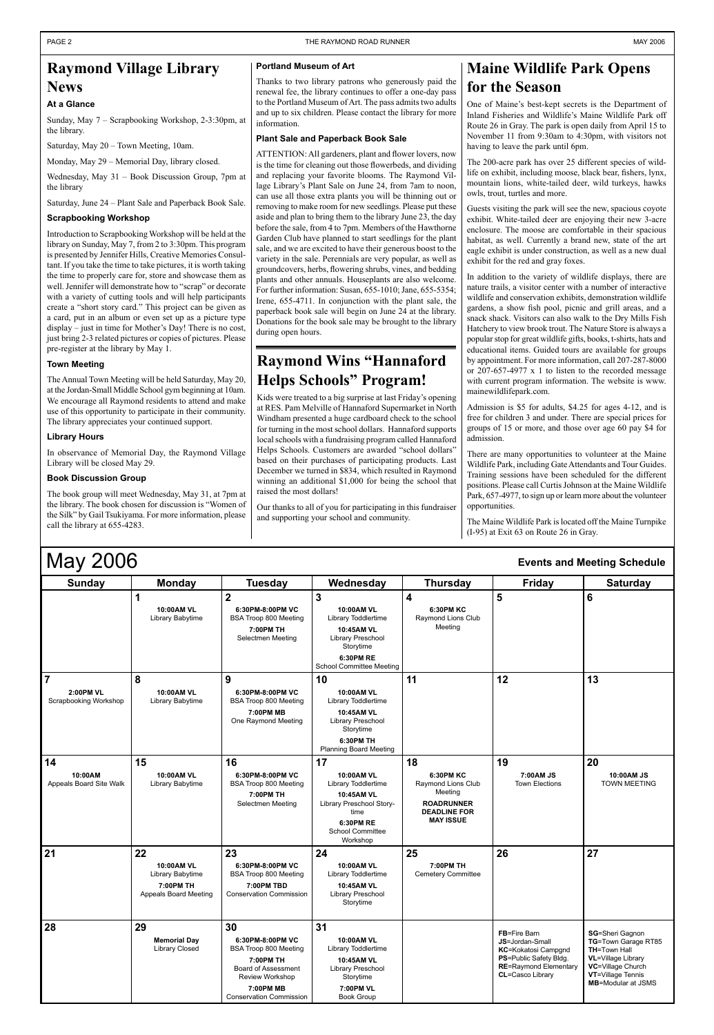| J<br><b>Sunday</b>                                          | <b>Monday</b>                                                              | <b>Tuesday</b>                                                                                                                                               | Wednesday                                                                                                                                         | <b>Thursday</b>                                                                                                         | <b>Friday</b>                                                                                                                                             | <b>Saturday</b>                                                                                                                                                   |
|-------------------------------------------------------------|----------------------------------------------------------------------------|--------------------------------------------------------------------------------------------------------------------------------------------------------------|---------------------------------------------------------------------------------------------------------------------------------------------------|-------------------------------------------------------------------------------------------------------------------------|-----------------------------------------------------------------------------------------------------------------------------------------------------------|-------------------------------------------------------------------------------------------------------------------------------------------------------------------|
|                                                             | 1<br>10:00AM VL<br>Library Babytime                                        | $\overline{2}$<br>6:30PM-8:00PM VC<br><b>BSA Troop 800 Meeting</b><br>7:00PM TH<br>Selectmen Meeting                                                         | $\mathbf{3}$<br>10:00AM VL<br>Library Toddlertime<br>10:45AM VL<br>Library Preschool<br>Storytime<br>6:30PM RE<br><b>School Committee Meeting</b> | $\overline{\mathbf{4}}$<br><b>6:30PM KC</b><br>Raymond Lions Club<br>Meeting                                            | 5                                                                                                                                                         | 6                                                                                                                                                                 |
| $\overline{7}$<br><b>2:00PM VL</b><br>Scrapbooking Workshop | 8<br>10:00AM VL<br>Library Babytime                                        | 9<br>6:30PM-8:00PM VC<br><b>BSA Troop 800 Meeting</b><br>7:00PM MB<br>One Raymond Meeting                                                                    | 10<br>10:00AM VL<br>Library Toddlertime<br>10:45AM VL<br>Library Preschool<br>Storytime<br><b>6:30PM TH</b><br><b>Planning Board Meeting</b>      | 11                                                                                                                      | 12                                                                                                                                                        | 13                                                                                                                                                                |
| 14<br>10:00AM<br>Appeals Board Site Walk                    | 15<br>10:00AM VL<br>Library Babytime                                       | 16<br>6:30PM-8:00PM VC<br><b>BSA Troop 800 Meeting</b><br>7:00PM TH<br>Selectmen Meeting                                                                     | 17<br><b>10:00AM VL</b><br>Library Toddlertime<br>10:45AM VL<br>Library Preschool Story-<br>time<br>6:30PM RE<br>School Committee<br>Workshop     | 18<br><b>6:30PM KC</b><br>Raymond Lions Club<br>Meeting<br><b>ROADRUNNER</b><br><b>DEADLINE FOR</b><br><b>MAY ISSUE</b> | 19<br>7:00 AM JS<br><b>Town Elections</b>                                                                                                                 | 20<br>10:00AM JS<br><b>TOWN MEETING</b>                                                                                                                           |
| 21                                                          | 22<br>10:00AM VL<br>Library Babytime<br>7:00PM TH<br>Appeals Board Meeting | 23<br>6:30PM-8:00PM VC<br><b>BSA Troop 800 Meeting</b><br>7:00PM TBD<br><b>Conservation Commission</b>                                                       | 24<br>10:00AM VL<br>Library Toddlertime<br>10:45AM VL<br>Library Preschool<br>Storytime                                                           | 25<br>7:00PM TH<br><b>Cemetery Committee</b>                                                                            | 26                                                                                                                                                        | 27                                                                                                                                                                |
| 28                                                          | 29<br><b>Memorial Day</b><br>Library Closed                                | 30<br>6:30PM-8:00PM VC<br><b>BSA Troop 800 Meeting</b><br>7:00PM TH<br>Board of Assessment<br>Review Workshop<br>7:00PM MB<br><b>Conservation Commission</b> | 31<br>10:00AM VL<br>Library Toddlertime<br>10:45AM VL<br>Library Preschool<br>Storytime<br>7:00PM VL<br><b>Book Group</b>                         |                                                                                                                         | <b>FB=Fire Barn</b><br>JS=Jordan-Small<br><b>KC=Kokatosi Campgnd</b><br><b>PS=Public Safety Bldg.</b><br><b>RE=Raymond Elementary</b><br>CL=Casco Library | <b>SG=Sheri Gagnon</b><br>TG=Town Garage RT85<br>TH=Town Hall<br><b>VL=Village Library</b><br>VC=Village Church<br>VT=Village Tennis<br><b>MB=Modular at JSMS</b> |

### May 2006 **Events and Meeting Schedule**

### **Raymond Village Library News**

### **At a Glance**

Sunday, May 7 – Scrapbooking Workshop, 2-3:30pm, at the library.

Saturday, May 20 – Town Meeting, 10am.

Monday, May 29 – Memorial Day, library closed.

Wednesday, May 31 – Book Discussion Group, 7pm at the library

Saturday, June 24 – Plant Sale and Paperback Book Sale.

#### **Scrapbooking Workshop**

Introduction to Scrapbooking Workshop will be held at the library on Sunday, May 7, from 2 to 3:30pm. This program is presented by Jennifer Hills, Creative Memories Consultant. If you take the time to take pictures, it is worth taking the time to properly care for, store and showcase them as well. Jennifer will demonstrate how to "scrap" or decorate with a variety of cutting tools and will help participants create a "short story card." This project can be given as a card, put in an album or even set up as a picture type display – just in time for Mother's Day! There is no cost, just bring 2-3 related pictures or copies of pictures. Please pre-register at the library by May 1.

#### **Town Meeting**

The Annual Town Meeting will be held Saturday, May 20, at the Jordan-Small Middle School gym beginning at 10am. We encourage all Raymond residents to attend and make use of this opportunity to participate in their community. The library appreciates your continued support.

#### **Library Hours**

In observance of Memorial Day, the Raymond Village Library will be closed May 29.

#### **Book Discussion Group**

The book group will meet Wednesday, May 31, at 7pm at the library. The book chosen for discussion is "Women of the Silk" by Gail Tsukiyama. For more information, please call the library at 655-4283.

#### **Portland Museum of Art**

Thanks to two library patrons who generously paid the renewal fee, the library continues to offer a one-day pass to the Portland Museum of Art. The pass admits two adults and up to six children. Please contact the library for more information.

#### **Plant Sale and Paperback Book Sale**

ATTENTION: All gardeners, plant and flower lovers, now is the time for cleaning out those flowerbeds, and dividing and replacing your favorite blooms. The Raymond Village Library's Plant Sale on June 24, from 7am to noon, can use all those extra plants you will be thinning out or removing to make room for new seedlings. Please put these aside and plan to bring them to the library June 23, the day before the sale, from 4 to 7pm. Members of the Hawthorne Garden Club have planned to start seedlings for the plant sale, and we are excited to have their generous boost to the variety in the sale. Perennials are very popular, as well as groundcovers, herbs, flowering shrubs, vines, and bedding plants and other annuals. Houseplants are also welcome. For further information: Susan, 655-1010; Jane, 655-5354; Irene, 655-4711. In conjunction with the plant sale, the paperback book sale will begin on June 24 at the library. Donations for the book sale may be brought to the library during open hours.

### **Maine Wildlife Park Opens for the Season**

One of Maine's best-kept secrets is the Department of Inland Fisheries and Wildlife's Maine Wildlife Park off Route 26 in Gray. The park is open daily from April 15 to November 11 from 9:30am to 4:30pm, with visitors not having to leave the park until 6pm.

The 200-acre park has over 25 different species of wildlife on exhibit, including moose, black bear, fishers, lynx, mountain lions, white-tailed deer, wild turkeys, hawks owls, trout, turtles and more.

Guests visiting the park will see the new, spacious coyote exhibit. White-tailed deer are enjoying their new 3-acre enclosure. The moose are comfortable in their spacious habitat, as well. Currently a brand new, state of the art eagle exhibit is under construction, as well as a new dual exhibit for the red and gray foxes.

In addition to the variety of wildlife displays, there are nature trails, a visitor center with a number of interactive wildlife and conservation exhibits, demonstration wildlife gardens, a show fish pool, picnic and grill areas, and a snack shack. Visitors can also walk to the Dry Mills Fish Hatchery to view brook trout. The Nature Store is always a popular stop for great wildlife gifts, books, t-shirts, hats and educational items. Guided tours are available for groups by appointment. For more information, call 207-287-8000 or 207-657-4977 x 1 to listen to the recorded message with current program information. The website is www. mainewildlifepark.com.

Admission is \$5 for adults, \$4.25 for ages 4-12, and is free for children 3 and under. There are special prices for groups of 15 or more, and those over age 60 pay \$4 for admission.

There are many opportunities to volunteer at the Maine Wildlife Park, including Gate Attendants and Tour Guides. Training sessions have been scheduled for the different positions. Please call Curtis Johnson at the Maine Wildlife Park, 657-4977, to sign up or learn more about the volunteer opportunities.

The Maine Wildlife Park is located off the Maine Turnpike (I-95) at Exit 63 on Route 26 in Gray.

### **Raymond Wins "Hannaford Helps Schools" Program!**

Kids were treated to a big surprise at last Friday's opening at RES. Pam Melville of Hannaford Supermarket in North Windham presented a huge cardboard check to the school for turning in the most school dollars. Hannaford supports local schools with a fundraising program called Hannaford Helps Schools. Customers are awarded "school dollars" based on their purchases of participating products. Last December we turned in \$834, which resulted in Raymond winning an additional \$1,000 for being the school that raised the most dollars!

Our thanks to all of you for participating in this fundraiser and supporting your school and community.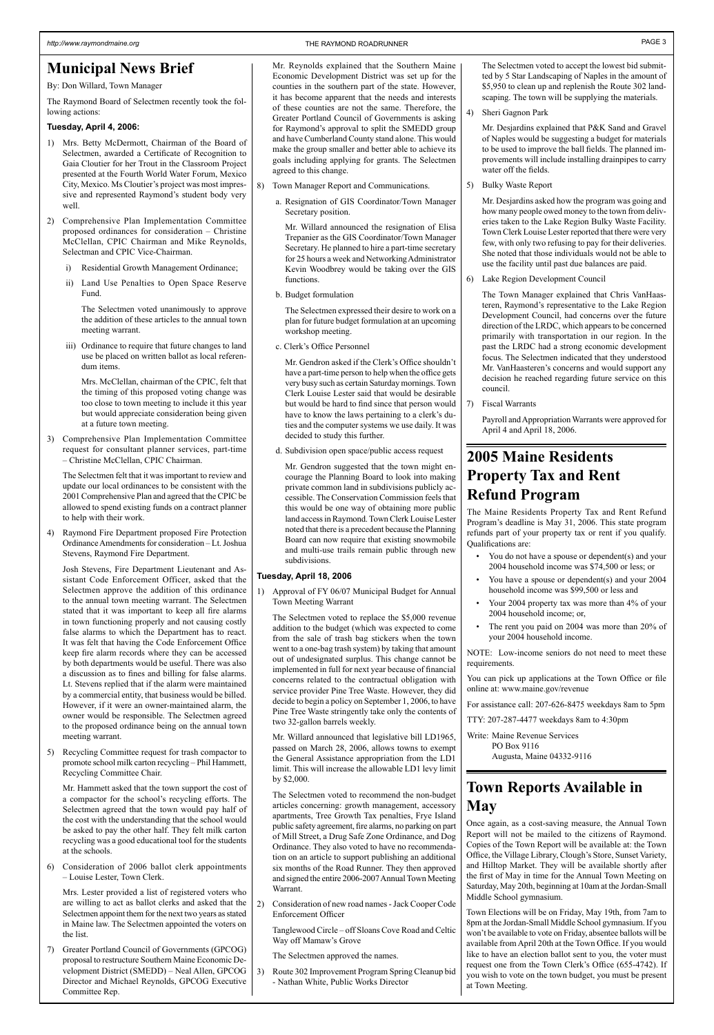### **Municipal News Brief**

#### By: Don Willard, Town Manager

The Raymond Board of Selectmen recently took the following actions:

### **Tuesday, April 4, 2006:**

- 1) Mrs. Betty McDermott, Chairman of the Board of Selectmen, awarded a Certificate of Recognition to Gaia Cloutier for her Trout in the Classroom Project presented at the Fourth World Water Forum, Mexico City, Mexico. Ms Cloutier's project was most impressive and represented Raymond's student body very well.
- 2) Comprehensive Plan Implementation Committee proposed ordinances for consideration – Christine McClellan, CPIC Chairman and Mike Reynolds, Selectman and CPIC Vice-Chairman.
	- i) Residential Growth Management Ordinance;
	- ii) Land Use Penalties to Open Space Reserve Fund.

The Selectmen voted unanimously to approve the addition of these articles to the annual town meeting warrant.

iii) Ordinance to require that future changes to land use be placed on written ballot as local referendum items.

Mrs. McClellan, chairman of the CPIC, felt that the timing of this proposed voting change was too close to town meeting to include it this year but would appreciate consideration being given at a future town meeting.

3) Comprehensive Plan Implementation Committee request for consultant planner services, part-time – Christine McClellan, CPIC Chairman.

The Selectmen felt that it was important to review and update our local ordinances to be consistent with the 2001 Comprehensive Plan and agreed that the CPIC be allowed to spend existing funds on a contract planner to help with their work.

4) Raymond Fire Department proposed Fire Protection Ordinance Amendments for consideration – Lt. Joshua Stevens, Raymond Fire Department.

Josh Stevens, Fire Department Lieutenant and Assistant Code Enforcement Officer, asked that the Selectmen approve the addition of this ordinance to the annual town meeting warrant. The Selectmen stated that it was important to keep all fire alarms in town functioning properly and not causing costly false alarms to which the Department has to react. It was felt that having the Code Enforcement Office keep fire alarm records where they can be accessed by both departments would be useful. There was also a discussion as to fines and billing for false alarms. Lt. Stevens replied that if the alarm were maintained by a commercial entity, that business would be billed. However, if it were an owner-maintained alarm, the owner would be responsible. The Selectmen agreed to the proposed ordinance being on the annual town meeting warrant.

5) Recycling Committee request for trash compactor to promote school milk carton recycling – Phil Hammett, Recycling Committee Chair.

- Mr. Hammett asked that the town support the cost of a compactor for the school's recycling efforts. The Selectmen agreed that the town would pay half of the cost with the understanding that the school would be asked to pay the other half. They felt milk carton recycling was a good educational tool for the students at the schools.
- 6) Consideration of 2006 ballot clerk appointments – Louise Lester, Town Clerk.

Mrs. Lester provided a list of registered voters who are willing to act as ballot clerks and asked that the Selectmen appoint them for the next two years as stated in Maine law. The Selectmen appointed the voters on the list.

7) Greater Portland Council of Governments (GPCOG) proposal to restructure Southern Maine Economic Development District (SMEDD) – Neal Allen, GPCOG Director and Michael Reynolds, GPCOG Executive Committee Rep.

Mr. Reynolds explained that the Southern Maine Economic Development District was set up for the counties in the southern part of the state. However, it has become apparent that the needs and interests of these counties are not the same. Therefore, the Greater Portland Council of Governments is asking for Raymond's approval to split the SMEDD group and have Cumberland County stand alone. This would make the group smaller and better able to achieve its goals including applying for grants. The Selectmen agreed to this change.

- 8) Town Manager Report and Communications.
	- a. Resignation of GIS Coordinator/Town Manager Secretary position.

Mr. Willard announced the resignation of Elisa Trepanier as the GIS Coordinator/Town Manager Secretary. He planned to hire a part-time secretary for 25 hours a week and Networking Administrator Kevin Woodbrey would be taking over the GIS functions.

b. Budget formulation

The Selectmen expressed their desire to work on a plan for future budget formulation at an upcoming workshop meeting.

c. Clerk's Office Personnel

Mr. Gendron asked if the Clerk's Office shouldn't have a part-time person to help when the office gets very busy such as certain Saturday mornings. Town Clerk Louise Lester said that would be desirable but would be hard to find since that person would have to know the laws pertaining to a clerk's duties and the computer systems we use daily. It was decided to study this further.

d. Subdivision open space/public access request

Mr. Gendron suggested that the town might encourage the Planning Board to look into making private common land in subdivisions publicly accessible. The Conservation Commission feels that this would be one way of obtaining more public land access in Raymond. Town Clerk Louise Lester noted that there is a precedent because the Planning Board can now require that existing snowmobile and multi-use trails remain public through new subdivisions.

### **Tuesday, April 18, 2006**

1) Approval of FY 06/07 Municipal Budget for Annual Town Meeting Warrant

The Selectmen voted to replace the \$5,000 revenue addition to the budget (which was expected to come from the sale of trash bag stickers when the town went to a one-bag trash system) by taking that amount out of undesignated surplus. This change cannot be implemented in full for next year because of financial concerns related to the contractual obligation with service provider Pine Tree Waste. However, they did decide to begin a policy on September 1, 2006, to have Pine Tree Waste stringently take only the contents of two 32-gallon barrels weekly.

Mr. Willard announced that legislative bill LD1965, passed on March 28, 2006, allows towns to exempt the General Assistance appropriation from the LD1 limit. This will increase the allowable LD1 levy limit by \$2,000.

The Selectmen voted to recommend the non-budget articles concerning: growth management, accessory apartments, Tree Growth Tax penalties, Frye Island public safety agreement, fire alarms, no parking on part of Mill Street, a Drug Safe Zone Ordinance, and Dog Ordinance. They also voted to have no recommendation on an article to support publishing an additional six months of the Road Runner. They then approved and signed the entire 2006-2007 Annual Town Meeting Warrant.

2) Consideration of new road names - Jack Cooper Code Enforcement Officer

Tanglewood Circle – off Sloans Cove Road and Celtic Way off Mamaw's Grove

The Selectmen approved the names.

3) Route 302 Improvement Program Spring Cleanup bid - Nathan White, Public Works Director

The Selectmen voted to accept the lowest bid submitted by 5 Star Landscaping of Naples in the amount of \$5,950 to clean up and replenish the Route 302 landscaping. The town will be supplying the materials.

4) Sheri Gagnon Park

Mr. Desjardins explained that P&K Sand and Gravel of Naples would be suggesting a budget for materials to be used to improve the ball fields. The planned improvements will include installing drainpipes to carry water off the fields.

5) Bulky Waste Report

Mr. Desjardins asked how the program was going and how many people owed money to the town from deliveries taken to the Lake Region Bulky Waste Facility. Town Clerk Louise Lester reported that there were very few, with only two refusing to pay for their deliveries. She noted that those individuals would not be able to use the facility until past due balances are paid.

6) Lake Region Development Council

The Town Manager explained that Chris VanHaasteren, Raymond's representative to the Lake Region Development Council, had concerns over the future direction of the LRDC, which appears to be concerned primarily with transportation in our region. In the past the LRDC had a strong economic development focus. The Selectmen indicated that they understood Mr. VanHaasteren's concerns and would support any decision he reached regarding future service on this council.

7) Fiscal Warrants

Payroll and Appropriation Warrants were approved for April 4 and April 18, 2006.

### **2005 Maine Residents Property Tax and Rent Refund Program**

The Maine Residents Property Tax and Rent Refund Program's deadline is May 31, 2006. This state program refunds part of your property tax or rent if you qualify. Qualifications are:

- You do not have a spouse or dependent(s) and your 2004 household income was \$74,500 or less; or
- You have a spouse or dependent(s) and your 2004 household income was \$99,500 or less and
- Your 2004 property tax was more than 4% of your 2004 household income; or,
- The rent you paid on 2004 was more than 20% of your 2004 household income.

NOTE: Low-income seniors do not need to meet these requirements.

You can pick up applications at the Town Office or file online at: www.maine.gov/revenue

For assistance call: 207-626-8475 weekdays 8am to 5pm

TTY: 207-287-4477 weekdays 8am to 4:30pm

Write: Maine Revenue Services PO Box 9116 Augusta, Maine 04332-9116

### **Town Reports Available in May**

Once again, as a cost-saving measure, the Annual Town Report will not be mailed to the citizens of Raymond. Copies of the Town Report will be available at: the Town Office, the Village Library, Clough's Store, Sunset Variety, and Hilltop Market. They will be available shortly after the first of May in time for the Annual Town Meeting on Saturday, May 20th, beginning at 10am at the Jordan-Small Middle School gymnasium.

Town Elections will be on Friday, May 19th, from 7am to 8pm at the Jordan-Small Middle School gymnasium. If you won't be available to vote on Friday, absentee ballots will be available from April 20th at the Town Office. If you would like to have an election ballot sent to you, the voter must request one from the Town Clerk's Office (655-4742). If you wish to vote on the town budget, you must be present at Town Meeting.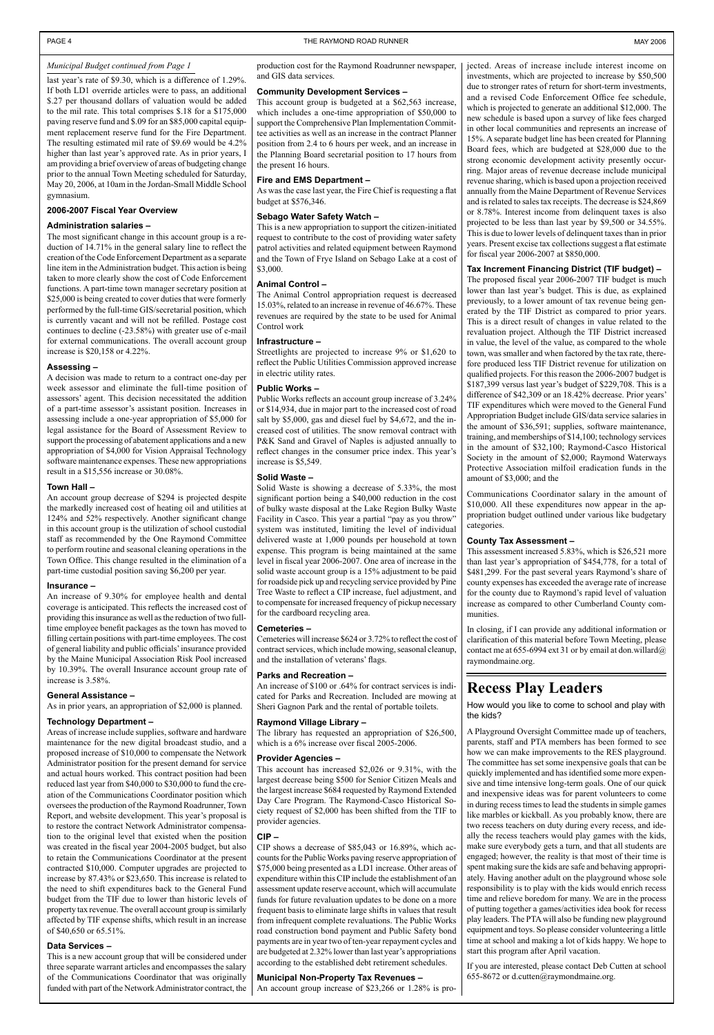last year's rate of \$9.30, which is a difference of 1.29%. If both LD1 override articles were to pass, an additional \$.27 per thousand dollars of valuation would be added to the mil rate. This total comprises \$.18 for a \$175,000 paving reserve fund and \$.09 for an \$85,000 capital equipment replacement reserve fund for the Fire Department. The resulting estimated mil rate of \$9.69 would be 4.2% higher than last year's approved rate. As in prior years, I am providing a brief overview of areas of budgeting change prior to the annual Town Meeting scheduled for Saturday, May 20, 2006, at 10am in the Jordan-Small Middle School gymnasium.

#### **2006-2007 Fiscal Year Overview**

#### **Administration salaries –**

The most significant change in this account group is a reduction of 14.71% in the general salary line to reflect the creation of the Code Enforcement Department as a separate line item in the Administration budget. This action is being taken to more clearly show the cost of Code Enforcement functions. A part-time town manager secretary position at \$25,000 is being created to cover duties that were formerly performed by the full-time GIS/secretarial position, which is currently vacant and will not be refilled. Postage cost continues to decline (-23.58%) with greater use of e-mail for external communications. The overall account group increase is \$20,158 or 4.22%.

#### **Assessing –**

A decision was made to return to a contract one-day per week assessor and eliminate the full-time position of assessors' agent. This decision necessitated the addition of a part-time assessor's assistant position. Increases in assessing include a one-year appropriation of \$5,000 for legal assistance for the Board of Assessment Review to support the processing of abatement applications and a new appropriation of \$4,000 for Vision Appraisal Technology software maintenance expenses. These new appropriations result in a \$15,556 increase or 30.08%.

#### **Town Hall –**

An account group decrease of \$294 is projected despite the markedly increased cost of heating oil and utilities at 124% and 52% respectively. Another significant change in this account group is the utilization of school custodial staff as recommended by the One Raymond Committee to perform routine and seasonal cleaning operations in the Town Office. This change resulted in the elimination of a part-time custodial position saving \$6,200 per year.

#### **Insurance –**

An increase of 9.30% for employee health and dental coverage is anticipated. This reflects the increased cost of providing this insurance as well as the reduction of two fulltime employee benefit packages as the town has moved to filling certain positions with part-time employees. The cost of general liability and public officials' insurance provided by the Maine Municipal Association Risk Pool increased by 10.39%. The overall Insurance account group rate of increase is 3.58%.

#### **General Assistance –**

As in prior years, an appropriation of \$2,000 is planned.

#### **Technology Department –**

Areas of increase include supplies, software and hardware maintenance for the new digital broadcast studio, and a proposed increase of \$10,000 to compensate the Network Administrator position for the present demand for service and actual hours worked. This contract position had been reduced last year from \$40,000 to \$30,000 to fund the creation of the Communications Coordinator position which oversees the production of the Raymond Roadrunner, Town Report, and website development. This year's proposal is to restore the contract Network Administrator compensation to the original level that existed when the position was created in the fiscal year 2004-2005 budget, but also to retain the Communications Coordinator at the present contracted \$10,000. Computer upgrades are projected to increase by 87.43% or \$23,650. This increase is related to the need to shift expenditures back to the General Fund budget from the TIF due to lower than historic levels of property tax revenue. The overall account group is similarly affected by TIF expense shifts, which result in an increase of \$40,650 or 65.51%.

#### **Data Services –**

This is a new account group that will be considered under three separate warrant articles and encompasses the salary of the Communications Coordinator that was originally funded with part of the Network Administrator contract, the production cost for the Raymond Roadrunner newspaper, and GIS data services.

#### **Community Development Services –**

This account group is budgeted at a \$62,563 increase, which includes a one-time appropriation of \$50,000 to support the Comprehensive Plan Implementation Committee activities as well as an increase in the contract Planner position from 2.4 to 6 hours per week, and an increase in the Planning Board secretarial position to 17 hours from the present 16 hours.

#### **Fire and EMS Department –**

As was the case last year, the Fire Chief is requesting a flat budget at \$576,346.

#### **Sebago Water Safety Watch –**

This is a new appropriation to support the citizen-initiated request to contribute to the cost of providing water safety patrol activities and related equipment between Raymond and the Town of Frye Island on Sebago Lake at a cost of \$3,000.

#### **Animal Control –**

The Animal Control appropriation request is decreased 15.03%, related to an increase in revenue of 46.67%. These revenues are required by the state to be used for Animal Control work

#### **Infrastructure –**

Streetlights are projected to increase 9% or \$1,620 to reflect the Public Utilities Commission approved increase in electric utility rates.

#### **Public Works –**

Public Works reflects an account group increase of 3.24% or \$14,934, due in major part to the increased cost of road salt by \$5,000, gas and diesel fuel by \$4,672, and the increased cost of utilities. The snow removal contract with P&K Sand and Gravel of Naples is adjusted annually to reflect changes in the consumer price index. This year's increase is \$5,549.

#### **Solid Waste –**

Solid Waste is showing a decrease of 5.33%, the most significant portion being a \$40,000 reduction in the cost of bulky waste disposal at the Lake Region Bulky Waste Facility in Casco. This year a partial "pay as you throw" system was instituted, limiting the level of individual delivered waste at 1,000 pounds per household at town expense. This program is being maintained at the same level in fiscal year 2006-2007. One area of increase in the solid waste account group is a 15% adjustment to be paid for roadside pick up and recycling service provided by Pine Tree Waste to reflect a CIP increase, fuel adjustment, and to compensate for increased frequency of pickup necessary for the cardboard recycling area.

#### **Cemeteries –**

Cemeteries will increase \$624 or 3.72% to reflect the cost of contract services, which include mowing, seasonal cleanup, and the installation of veterans' flags.

#### **Parks and Recreation –**

An increase of \$100 or .64% for contract services is indicated for Parks and Recreation. Included are mowing at Sheri Gagnon Park and the rental of portable toilets.

#### **Raymond Village Library –**

The library has requested an appropriation of \$26,500, which is a 6% increase over fiscal 2005-2006.

#### **Provider Agencies –**

This account has increased \$2,026 or 9.31%, with the largest decrease being \$500 for Senior Citizen Meals and the largest increase \$684 requested by Raymond Extended Day Care Program. The Raymond-Casco Historical Society request of \$2,000 has been shifted from the TIF to provider agencies.

#### **CIP –**

CIP shows a decrease of \$85,043 or 16.89%, which accounts for the Public Works paving reserve appropriation of \$75,000 being presented as a LD1 increase. Other areas of expenditure within this CIP include the establishment of an assessment update reserve account, which will accumulate funds for future revaluation updates to be done on a more frequent basis to eliminate large shifts in values that result from infrequent complete revaluations. The Public Works road construction bond payment and Public Safety bond payments are in year two of ten-year repayment cycles and are budgeted at 2.32% lower than last year's appropriations according to the established debt retirement schedules.

#### **Municipal Non-Property Tax Revenues –**

An account group increase of \$23,266 or 1.28% is pro-

jected. Areas of increase include interest income on investments, which are projected to increase by \$50,500 due to stronger rates of return for short-term investments, and a revised Code Enforcement Office fee schedule, which is projected to generate an additional \$12,000. The new schedule is based upon a survey of like fees charged in other local communities and represents an increase of 15%. A separate budget line has been created for Planning Board fees, which are budgeted at \$28,000 due to the strong economic development activity presently occurring. Major areas of revenue decrease include municipal revenue sharing, which is based upon a projection received annually from the Maine Department of Revenue Services and is related to sales tax receipts. The decrease is \$24,869 or 8.78%. Interest income from delinquent taxes is also projected to be less than last year by \$9,500 or 34.55%. This is due to lower levels of delinquent taxes than in prior years. Present excise tax collections suggest a flat estimate for fiscal year 2006-2007 at \$850,000.

#### **Tax Increment Financing District (TIF budget) –**

The proposed fiscal year 2006-2007 TIF budget is much lower than last year's budget. This is due, as explained previously, to a lower amount of tax revenue being generated by the TIF District as compared to prior years. This is a direct result of changes in value related to the revaluation project. Although the TIF District increased in value, the level of the value, as compared to the whole town, was smaller and when factored by the tax rate, therefore produced less TIF District revenue for utilization on qualified projects. For this reason the 2006-2007 budget is \$187,399 versus last year's budget of \$229,708. This is a difference of \$42,309 or an 18.42% decrease. Prior years' TIF expenditures which were moved to the General Fund Appropriation Budget include GIS/data service salaries in the amount of \$36,591; supplies, software maintenance, training, and memberships of \$14,100; technology services in the amount of \$32,100; Raymond-Casco Historical Society in the amount of \$2,000; Raymond Waterways Protective Association milfoil eradication funds in the amount of \$3,000; and the

Communications Coordinator salary in the amount of \$10,000. All these expenditures now appear in the appropriation budget outlined under various like budgetary categories.

#### **County Tax Assessment –**

This assessment increased 5.83%, which is \$26,521 more than last year's appropriation of \$454,778, for a total of \$481,299. For the past several years Raymond's share of county expenses has exceeded the average rate of increase for the county due to Raymond's rapid level of valuation increase as compared to other Cumberland County communities.

In closing, if I can provide any additional information or clarification of this material before Town Meeting, please contact me at 655-6994 ext 31 or by email at don.willard $@$ raymondmaine.org.

### *Municipal Budget continued from Page 1*

### **Recess Play Leaders**

How would you like to come to school and play with the kids?

A Playground Oversight Committee made up of teachers, parents, staff and PTA members has been formed to see how we can make improvements to the RES playground. The committee has set some inexpensive goals that can be quickly implemented and has identified some more expensive and time intensive long-term goals. One of our quick and inexpensive ideas was for parent volunteers to come in during recess times to lead the students in simple games like marbles or kickball. As you probably know, there are two recess teachers on duty during every recess, and ideally the recess teachers would play games with the kids, make sure everybody gets a turn, and that all students are engaged; however, the reality is that most of their time is spent making sure the kids are safe and behaving appropriately. Having another adult on the playground whose sole responsibility is to play with the kids would enrich recess time and relieve boredom for many. We are in the process of putting together a games/activities idea book for recess play leaders. The PTA will also be funding new playground equipment and toys. So please consider volunteering a little time at school and making a lot of kids happy. We hope to start this program after April vacation.

If you are interested, please contact Deb Cutten at school 655-8672 or d.cutten@raymondmaine.org.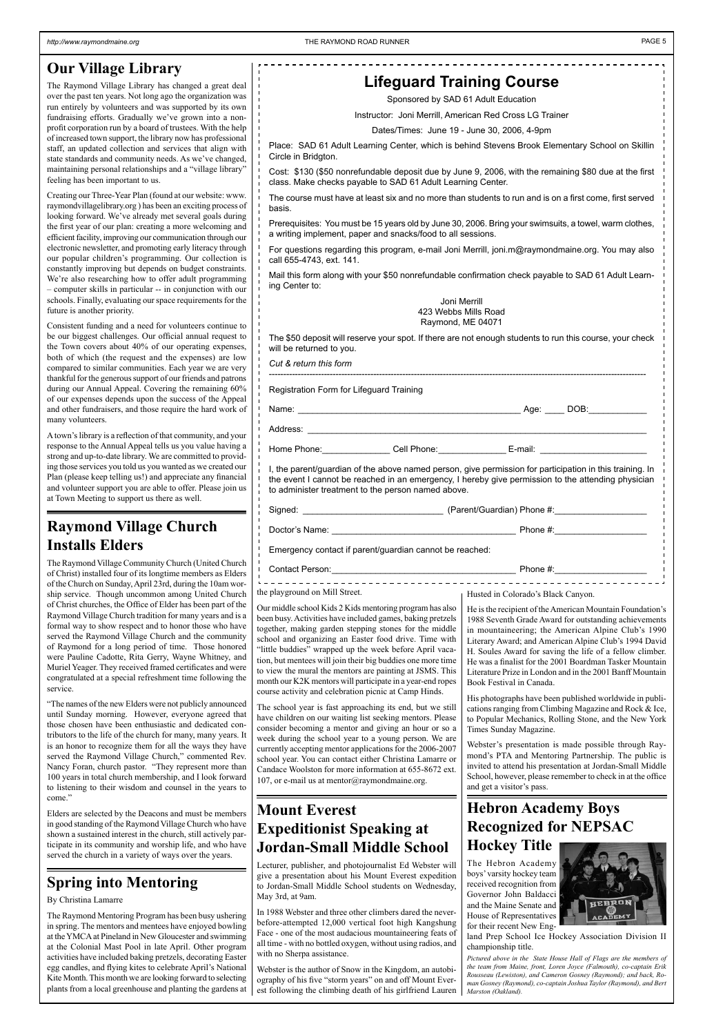### **Our Village Library**

The Raymond Village Library has changed a great deal over the past ten years. Not long ago the organization was run entirely by volunteers and was supported by its own fundraising efforts. Gradually we've grown into a nonprofit corporation run by a board of trustees. With the help of increased town support, the library now has professional staff, an updated collection and services that align with state standards and community needs. As we've changed, maintaining personal relationships and a "village library" feeling has been important to us.

Creating our Three-Year Plan (found at our website: www. raymondvillagelibrary.org ) has been an exciting process of looking forward. We've already met several goals during the first year of our plan: creating a more welcoming and efficient facility, improving our communication through our electronic newsletter, and promoting early literacy through our popular children's programming. Our collection is constantly improving but depends on budget constraints. We're also researching how to offer adult programming – computer skills in particular -- in conjunction with our schools. Finally, evaluating our space requirements for the future is another priority.

Consistent funding and a need for volunteers continue to be our biggest challenges. Our official annual request to the Town covers about 40% of our operating expenses, both of which (the request and the expenses) are low compared to similar communities. Each year we are very thankful for the generous support of our friends and patrons during our Annual Appeal. Covering the remaining 60% of our expenses depends upon the success of the Appeal and other fundraisers, and those require the hard work of many volunteers.

A town's library is a reflection of that community, and your response to the Annual Appeal tells us you value having a strong and up-to-date library. We are committed to providing those services you told us you wanted as we created our Plan (please keep telling us!) and appreciate any financial and volunteer support you are able to offer. Please join us at Town Meeting to support us there as well.

| Signed:        | (Parent/Guardian) Phone #: |
|----------------|----------------------------|
| Doctor's Name: | Phone #:                   |

### **Lifeguard Training Course**

Sponsored by SAD 61 Adult Education

Instructor: Joni Merrill, American Red Cross LG Trainer

Dates/Times: June 19 - June 30, 2006, 4-9pm

Place: SAD 61 Adult Learning Center, which is behind Stevens Brook Elementary School on Skillin Circle in Bridgton.

Cost: \$130 (\$50 nonrefundable deposit due by June 9, 2006, with the remaining \$80 due at the first class. Make checks payable to SAD 61 Adult Learning Center.

The course must have at least six and no more than students to run and is on a first come, first served basis.

Prerequisites: You must be 15 years old by June 30, 2006. Bring your swimsuits, a towel, warm clothes, a writing implement, paper and snacks/food to all sessions.

For questions regarding this program, e-mail Joni Merrill, joni.m@raymondmaine.org. You may also call 655-4743, ext. 141.

Mail this form along with your \$50 nonrefundable confirmation check payable to SAD 61 Adult Learning Center to:

Joni Merrill 423 Webbs Mills Road Raymond, ME 04071

The \$50 deposit will reserve your spot. If there are not enough students to run this course, your check will be returned to you.

*Cut & return this form* 

----------------------------------------------------------------------------------------------------------------------------------

Registration Form for Lifeguard Training

Name: \_\_\_\_\_\_\_\_\_\_\_\_\_\_\_\_\_\_\_\_\_\_\_\_\_\_\_\_\_\_\_\_\_\_\_\_\_\_\_\_\_\_\_\_\_\_ Age: \_\_\_\_ DOB:\_\_\_\_\_\_\_\_\_\_\_\_

Address: \_\_\_\_\_\_\_\_\_\_\_\_\_\_\_\_\_\_\_\_\_\_\_\_\_\_\_\_\_\_\_\_\_\_\_\_\_\_\_\_\_\_\_\_\_\_\_\_\_\_\_\_\_\_\_\_\_\_\_\_\_\_\_\_\_\_\_\_\_\_

Home Phone: The Cell Phone: The E-mail:

I, the parent/guardian of the above named person, give permission for participation in this training. In the event I cannot be reached in an emergency, I hereby give permission to the attending physician to administer treatment to the person named above.

Emergency contact if parent/guardian cannot be reached:

Contact Person: example and the set of the set of the set of the set of the set of the set of the set of the set of the set of the set of the set of the set of the set of the set of the set of the set of the set of the set

### **Raymond Village Church Installs Elders**

The Raymond Village Community Church (United Church of Christ) installed four of its longtime members as Elders of the Church on Sunday, April 23rd, during the 10am worship service. Though uncommon among United Church of Christ churches, the Office of Elder has been part of the Raymond Village Church tradition for many years and is a formal way to show respect and to honor those who have served the Raymond Village Church and the community of Raymond for a long period of time. Those honored were Pauline Cadotte, Rita Gerry, Wayne Whitney, and Muriel Yeager. They received framed certificates and were congratulated at a special refreshment time following the service.

"The names of the new Elders were not publicly announced until Sunday morning. However, everyone agreed that those chosen have been enthusiastic and dedicated contributors to the life of the church for many, many years. It is an honor to recognize them for all the ways they have served the Raymond Village Church," commented Rev. Nancy Foran, church pastor. "They represent more than 100 years in total church membership, and I look forward to listening to their wisdom and counsel in the years to come."

Elders are selected by the Deacons and must be members in good standing of the Raymond Village Church who have shown a sustained interest in the church, still actively participate in its community and worship life, and who have served the church in a variety of ways over the years.

### **Mount Everest Expeditionist Speaking at Jordan-Small Middle School**

Lecturer, publisher, and photojournalist Ed Webster will give a presentation about his Mount Everest expedition to Jordan-Small Middle School students on Wednesday, May 3rd, at 9am.

In 1988 Webster and three other climbers dared the neverbefore-attempted 12,000 vertical foot high Kangshung Face - one of the most audacious mountaineering feats of all time - with no bottled oxygen, without using radios, and with no Sherpa assistance.

Webster is the author of Snow in the Kingdom, an autobiography of his five "storm years" on and off Mount Everest following the climbing death of his girlfriend Lauren

### **Spring into Mentoring**

By Christina Lamarre

The Raymond Mentoring Program has been busy ushering in spring. The mentors and mentees have enjoyed bowling at the YMCA at Pineland in New Gloucester and swimming at the Colonial Mast Pool in late April. Other program activities have included baking pretzels, decorating Easter egg candles, and flying kites to celebrate April's National Kite Month. This month we are looking forward to selecting plants from a local greenhouse and planting the gardens at

Husted in Colorado's Black Canyon.

He is the recipient of the American Mountain Foundation's 1988 Seventh Grade Award for outstanding achievements in mountaineering; the American Alpine Club's 1990 Literary Award; and American Alpine Club's 1994 David H. Soules Award for saving the life of a fellow climber. He was a finalist for the 2001 Boardman Tasker Mountain Literature Prize in London and in the 2001 Banff Mountain Book Festival in Canada.

His photographs have been published worldwide in publications ranging from Climbing Magazine and Rock & Ice, to Popular Mechanics, Rolling Stone, and the New York Times Sunday Magazine.

Webster's presentation is made possible through Raymond's PTA and Mentoring Partnership. The public is invited to attend his presentation at Jordan-Small Middle School, however, please remember to check in at the office

and get a visitor's pass.

the playground on Mill Street.

Our middle school Kids 2 Kids mentoring program has also been busy. Activities have included games, baking pretzels together, making garden stepping stones for the middle school and organizing an Easter food drive. Time with "little buddies" wrapped up the week before April vacation, but mentees will join their big buddies one more time to view the mural the mentors are painting at JSMS. This month our K2K mentors will participate in a year-end ropes course activity and celebration picnic at Camp Hinds.

The school year is fast approaching its end, but we still have children on our waiting list seeking mentors. Please consider becoming a mentor and giving an hour or so a week during the school year to a young person. We are currently accepting mentor applications for the 2006-2007 school year. You can contact either Christina Lamarre or Candace Woolston for more information at 655-8672 ext. 107, or e-mail us at mentor@raymondmaine.org.

## **Hebron Academy Boys Recognized for NEPSAC**

**Hockey Title**

The Hebron Academy boys' varsity hockey team received recognition from Governor John Baldacci and the Maine Senate and House of Representatives for their recent New Eng-



land Prep School Ice Hockey Association Division II championship title.

*Pictured above in the State House Hall of Flags are the members of the team from Maine, front, Loren Joyce (Falmouth), co-captain Erik Rousseau (Lewiston), and Cameron Gosney (Raymond); and back, Roman Gosney (Raymond), co-captain Joshua Taylor (Raymond), and Bert Marston (Oakland).*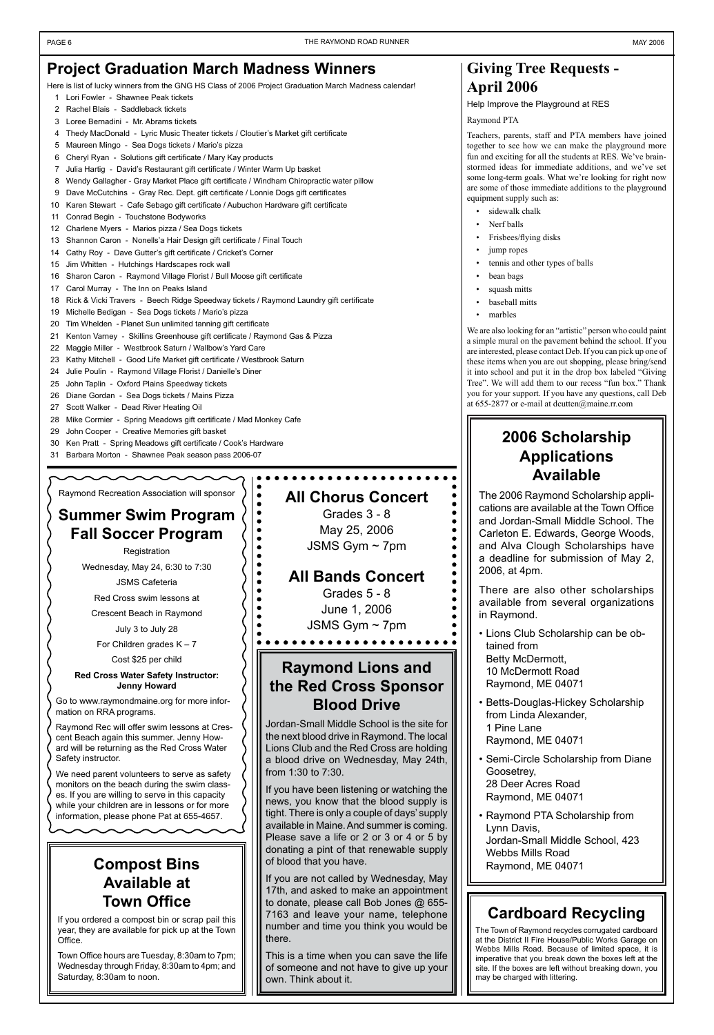### **Project Graduation March Madness Winners**

Here is list of lucky winners from the GNG HS Class of 2006 Project Graduation March Madness calendar!

- 1 Lori Fowler Shawnee Peak tickets
- 2 Rachel Blais Saddleback tickets
- 3 Loree Bernadini Mr. Abrams tickets
- 4 Thedy MacDonald Lyric Music Theater tickets / Cloutier's Market gift certificate
- 5 Maureen Mingo Sea Dogs tickets / Mario's pizza
- 6 Cheryl Ryan Solutions gift certificate / Mary Kay products
- 7 Julia Hartig David's Restaurant gift certificate / Winter Warm Up basket
- 8 Wendy Gallagher Gray Market Place gift certificate / Windham Chiropractic water pillow
- 9 Dave McCutchins Gray Rec. Dept. gift certificate / Lonnie Dogs gift certificates
- 10 Karen Stewart Cafe Sebago gift certificate / Aubuchon Hardware gift certificate
- 11 Conrad Begin Touchstone Bodyworks
- 12 Charlene Myers Marios pizza / Sea Dogs tickets
- 13 Shannon Caron Nonells'a Hair Design gift certificate / Final Touch
- 14 Cathy Roy Dave Gutter's gift certificate / Cricket's Corner
- 15 Jim Whitten Hutchings Hardscapes rock wall
- 16 Sharon Caron Raymond Village Florist / Bull Moose gift certificate
- 17 Carol Murray The Inn on Peaks Island
- 18 Rick & Vicki Travers Beech Ridge Speedway tickets / Raymond Laundry gift certificate
- 19 Michelle Bedigan Sea Dogs tickets / Mario's pizza
- 20 Tim Whelden Planet Sun unlimited tanning gift certificate
- 21 Kenton Varney Skillins Greenhouse gift certificate / Raymond Gas & Pizza
- 22 Maggie Miller Westbrook Saturn / Wallbow's Yard Care
- 23 Kathy Mitchell Good Life Market gift certificate / Westbrook Saturn
- 24 Julie Poulin Raymond Village Florist / Danielle's Diner
- 25 John Taplin Oxford Plains Speedway tickets
- 26 Diane Gordan Sea Dogs tickets / Mains Pizza
- 27 Scott Walker Dead River Heating Oil
- 28 Mike Cormier Spring Meadows gift certificate / Mad Monkey Cafe
- 29 John Cooper Creative Memories gift basket
- 30 Ken Pratt Spring Meadows gift certificate / Cook's Hardware
- 31 Barbara Morton Shawnee Peak season pass 2006-07
- sidewalk chalk
- Nerf balls
- Frisbees/flying disks
- jump ropes
- tennis and other types of balls
- bean bags
- squash mitts
- baseball mitts
- marbles

 $\bullet$  $\bullet$ 

### **Giving Tree Requests - April 2006**

Help Improve the Playground at RES

Raymond PTA

Teachers, parents, staff and PTA members have joined together to see how we can make the playground more fun and exciting for all the students at RES. We've brainstormed ideas for immediate additions, and we've set some long-term goals. What we're looking for right now are some of those immediate additions to the playground equipment supply such as:

We are also looking for an "artistic" person who could paint a simple mural on the pavement behind the school. If you are interested, please contact Deb. If you can pick up one of these items when you are out shopping, please bring/send it into school and put it in the drop box labeled "Giving Tree". We will add them to our recess "fun box." Thank you for your support. If you have any questions, call Deb at 655-2877 or e-mail at dcutten@maine.rr.com

If you have been listening or watching the news, you know that the blood supply is tight. There is only a couple of days' supply available in Maine. And summer is coming. Please save a life or 2 or 3 or 4 or 5 by donating a pint of that renewable supply of blood that you have.

### **2006 Scholarship Applications Available**

The 2006 Raymond Scholarship applications are available at the Town Office and Jordan-Small Middle School. The Carleton E. Edwards, George Woods, and Alva Clough Scholarships have a deadline for submission of May 2, 2006, at 4pm.

There are also other scholarships available from several organizations in Raymond.

- Lions Club Scholarship can be obtained from Betty McDermott, 10 McDermott Road Raymond, ME 04071
- Betts-Douglas-Hickey Scholarship from Linda Alexander, 1 Pine Lane Raymond, ME 04071
- Semi-Circle Scholarship from Diane Goosetrey,

28 Deer Acres Road Raymond, ME 04071

• Raymond PTA Scholarship from Lynn Davis, Jordan-Small Middle School, 423 Webbs Mills Road Raymond, ME 04071

### **Cardboard Recycling**

The Town of Raymond recycles corrugated cardboard at the District II Fire House/Public Works Garage on Webbs Mills Road. Because of limited space, it is imperative that you break down the boxes left at the site. If the boxes are left without breaking down, you may be charged with littering.

### **All Chorus Concert**

Grades 3 - 8 May 25, 2006 JSMS Gym ~ 7pm

### **All Bands Concert**

Grades 5 - 8 June 1, 2006 JSMS Gym ~ 7pm

 $0.00000000000000$ 

Raymond Recreation Association will sponsor

### **Summer Swim Program Fall Soccer Program**

**Registration** 

Wednesday, May 24, 6:30 to 7:30 JSMS Cafeteria

Red Cross swim lessons at

Crescent Beach in Raymond

July 3 to July 28

For Children grades  $K - 7$ 

Cost \$25 per child

### **Red Cross Water Safety Instructor: Jenny Howard**

Go to www.raymondmaine.org for more information on RRA programs.

Raymond Rec will offer swim lessons at Crescent Beach again this summer. Jenny Howard will be returning as the Red Cross Water Safety instructor.

We need parent volunteers to serve as safety monitors on the beach during the swim classes. If you are willing to serve in this capacity while your children are in lessons or for more information, please phone Pat at 655-4657.

### **Compost Bins Available at Town Office**

If you ordered a compost bin or scrap pail this year, they are available for pick up at the Town Office.

Town Office hours are Tuesday, 8:30am to 7pm; Wednesday through Friday, 8:30am to 4pm; and Saturday, 8:30am to noon.

### **Raymond Lions and the Red Cross Sponsor Blood Drive**

Jordan-Small Middle School is the site for the next blood drive in Raymond. The local Lions Club and the Red Cross are holding a blood drive on Wednesday, May 24th, from 1:30 to 7:30.

If you are not called by Wednesday, May 17th, and asked to make an appointment to donate, please call Bob Jones @ 655- 7163 and leave your name, telephone number and time you think you would be there.

This is a time when you can save the life of someone and not have to give up your own. Think about it.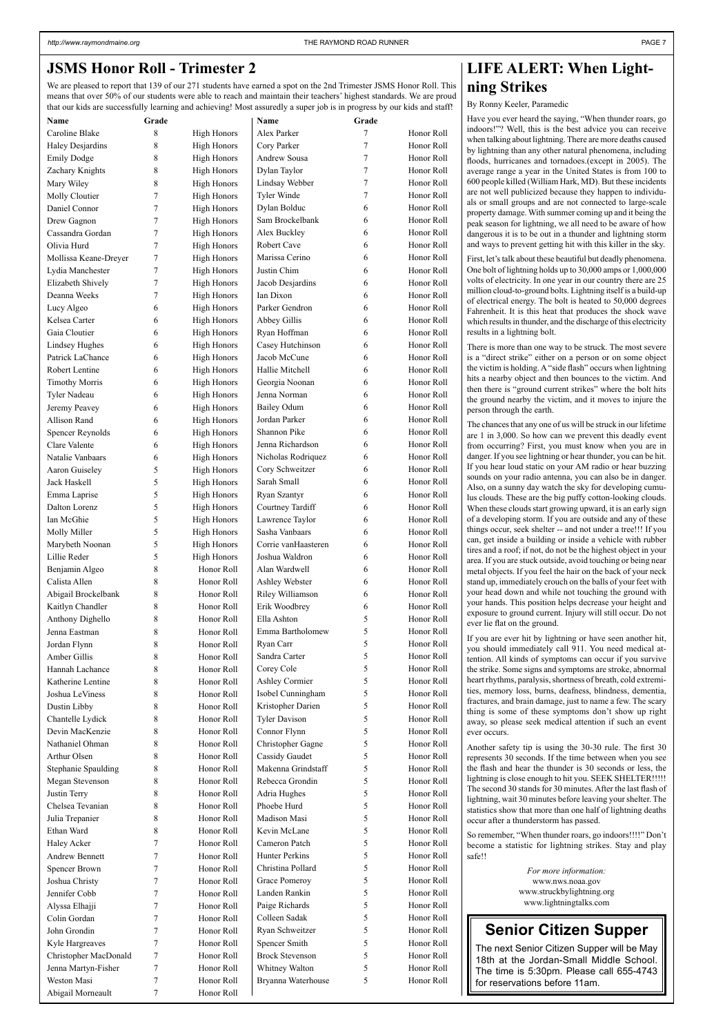### **LIFE ALERT: When Lightning Strikes**

#### By Ronny Keeler, Paramedic

Have you ever heard the saying, "When thunder roars, go indoors!"? Well, this is the best advice you can receive when talking about lightning. There are more deaths caused by lightning than any other natural phenomena, including floods, hurricanes and tornadoes.(except in 2005). The average range a year in the United States is from 100 to 600 people killed (William Hark, MD). But these incidents are not well publicized because they happen to individuals or small groups and are not connected to large-scale property damage. With summer coming up and it being the peak season for lightning, we all need to be aware of how dangerous it is to be out in a thunder and lightning storm and ways to prevent getting hit with this killer in the sky.

First, let's talk about these beautiful but deadly phenomena. One bolt of lightning holds up to 30,000 amps or 1,000,000 volts of electricity. In one year in our country there are 25 million cloud-to-ground bolts. Lightning itself is a build-up of electrical energy. The bolt is heated to 50,000 degrees Fahrenheit. It is this heat that produces the shock wave which results in thunder, and the discharge of this electricity results in a lightning bolt.

There is more than one way to be struck. The most severe is a "direct strike" either on a person or on some object the victim is holding. A "side flash" occurs when lightning hits a nearby object and then bounces to the victim. And then there is "ground current strikes" where the bolt hits the ground nearby the victim, and it moves to injure the person through the earth.

The chances that any one of us will be struck in our lifetime are 1 in 3,000. So how can we prevent this deadly event from occurring? First, you must know when you are in danger. If you see lightning or hear thunder, you can be hit. If you hear loud static on your AM radio or hear buzzing sounds on your radio antenna, you can also be in danger. Also, on a sunny day watch the sky for developing cumulus clouds. These are the big puffy cotton-looking clouds. When these clouds start growing upward, it is an early sign of a developing storm. If you are outside and any of these things occur, seek shelter -- and not under a tree!!! If you can, get inside a building or inside a vehicle with rubber tires and a roof; if not, do not be the highest object in your area. If you are stuck outside, avoid touching or being near metal objects. If you feel the hair on the back of your neck stand up, immediately crouch on the balls of your feet with your head down and while not touching the ground with your hands. This position helps decrease your height and exposure to ground current. Injury will still occur. Do not ever lie flat on the ground.

If you are ever hit by lightning or have seen another hit, you should immediately call 911. You need medical attention. All kinds of symptoms can occur if you survive the strike. Some signs and symptoms are stroke, abnormal heart rhythms, paralysis, shortness of breath, cold extremities, memory loss, burns, deafness, blindness, dementia, fractures, and brain damage, just to name a few. The scary thing is some of these symptoms don't show up right away, so please seek medical attention if such an event ever occurs.

Another safety tip is using the 30-30 rule. The first 30 represents 30 seconds. If the time between when you see the flash and hear the thunder is 30 seconds or less, the lightning is close enough to hit you. SEEK SHELTER!!!!! The second 30 stands for 30 minutes. After the last flash of lightning, wait 30 minutes before leaving your shelter. The statistics show that more than one half of lightning deaths occur after a thunderstorm has passed.

So remember, "When thunder roars, go indoors!!!!" Don't become a statistic for lightning strikes. Stay and play safe!!

> *For more information:* www.nws.noaa.gov www.struckbylightning.org www.lightningtalks.com

### **Senior Citizen Supper**

The next Senior Citizen Supper will be May 18th at the Jordan-Small Middle School. The time is 5:30pm. Please call 655-4743 for reservations before 11am.

### **JSMS Honor Roll - Trimester 2**

We are pleased to report that 139 of our 271 students have earned a spot on the 2nd Trimester JSMS Honor Roll. This means that over 50% of our students were able to reach and maintain their teachers' highest standards. We are proud that our kids are successfully learning and achieving! Most assuredly a super job is in progress by our kids and staff!

| <b>Name</b>                   | Grade |                    | Name                   | Grade  |            |
|-------------------------------|-------|--------------------|------------------------|--------|------------|
| Caroline Blake                | 8     | <b>High Honors</b> | Alex Parker            | 7      | Honor Roll |
| Haley Desjardins              | 8     | <b>High Honors</b> | Cory Parker            | 7      | Honor Roll |
| <b>Emily Dodge</b>            | 8     | <b>High Honors</b> | Andrew Sousa           | 7      | Honor Roll |
| Zachary Knights               | 8     | <b>High Honors</b> | Dylan Taylor           | 7      | Honor Roll |
| Mary Wiley                    | 8     | <b>High Honors</b> | Lindsay Webber         | $\tau$ | Honor Roll |
| Molly Cloutier                | 7     | <b>High Honors</b> | Tyler Winde            | 7      | Honor Roll |
| Daniel Connor                 | 7     | <b>High Honors</b> | Dylan Bolduc           | 6      | Honor Roll |
| Drew Gagnon                   | 7     | <b>High Honors</b> | Sam Brockelbank        | 6      | Honor Roll |
| Cassandra Gordan              | 7     | <b>High Honors</b> | Alex Buckley           | 6      | Honor Roll |
| Olivia Hurd                   | 7     | <b>High Honors</b> | Robert Cave            | 6      | Honor Roll |
| Mollissa Keane-Dreyer         | 7     | <b>High Honors</b> | Marissa Cerino         | 6      | Honor Roll |
| Lydia Manchester              | 7     | <b>High Honors</b> | Justin Chim            | 6      | Honor Roll |
| Elizabeth Shively             | 7     | <b>High Honors</b> | Jacob Desjardins       | 6      | Honor Roll |
| Deanna Weeks                  | 7     | <b>High Honors</b> | Ian Dixon              | 6      | Honor Roll |
| Lucy Algeo                    | 6     | <b>High Honors</b> | Parker Gendron         | 6      | Honor Roll |
| Kelsea Carter                 | 6     | <b>High Honors</b> | Abbey Gillis           | 6      | Honor Roll |
| Gaia Cloutier                 | 6     | <b>High Honors</b> | Ryan Hoffman           | 6      | Honor Roll |
| <b>Lindsey Hughes</b>         | 6     | <b>High Honors</b> | Casey Hutchinson       | 6      | Honor Roll |
| Patrick LaChance              | 6     | <b>High Honors</b> | Jacob McCune           | 6      | Honor Roll |
| Robert Lentine                | 6     | <b>High Honors</b> | Hallie Mitchell        | 6      | Honor Roll |
| <b>Timothy Morris</b>         | 6     | <b>High Honors</b> | Georgia Noonan         | 6      | Honor Roll |
|                               |       |                    | Jenna Norman           | 6      | Honor Roll |
| <b>Tyler Nadeau</b>           | 6     | <b>High Honors</b> |                        |        |            |
| Jeremy Peavey                 | 6     | <b>High Honors</b> | <b>Bailey Odum</b>     | 6      | Honor Roll |
| Allison Rand                  | 6     | <b>High Honors</b> | Jordan Parker          | 6      | Honor Roll |
| <b>Spencer Reynolds</b>       | 6     | <b>High Honors</b> | Shannon Pike           | 6      | Honor Roll |
| Clare Valente                 | 6     | <b>High Honors</b> | Jenna Richardson       | 6      | Honor Roll |
| Natalie Vanbaars              | 6     | <b>High Honors</b> | Nicholas Rodriquez     | 6      | Honor Roll |
| Aaron Guiseley                | 5     | <b>High Honors</b> | Cory Schweitzer        | 6      | Honor Roll |
| Jack Haskell                  | 5     | <b>High Honors</b> | Sarah Small            | 6      | Honor Roll |
| Emma Laprise                  | 5     | <b>High Honors</b> | Ryan Szantyr           | 6      | Honor Roll |
| Dalton Lorenz                 | 5     | <b>High Honors</b> | Courtney Tardiff       | 6      | Honor Roll |
| Ian McGhie                    | 5     | <b>High Honors</b> | Lawrence Taylor        | 6      | Honor Roll |
| Molly Miller                  | 5     | <b>High Honors</b> | Sasha Vanbaars         | 6      | Honor Roll |
| Marybeth Noonan               | 5     | <b>High Honors</b> | Corrie vanHaasteren    | 6      | Honor Roll |
| Lillie Reder                  | 5     | <b>High Honors</b> | Joshua Waldron         | 6      | Honor Roll |
| Benjamin Algeo                | 8     | Honor Roll         | Alan Wardwell          | 6      | Honor Roll |
| Calista Allen                 | 8     | Honor Roll         | Ashley Webster         | 6      | Honor Roll |
| Abigail Brockelbank           | 8     | Honor Roll         | Riley Williamson       | 6      | Honor Roll |
| Kaitlyn Chandler              | 8     | Honor Roll         | Erik Woodbrey          | 6      | Honor Roll |
| Anthony Dighello              | 8     | Honor Roll         | Ella Ashton            | 5      | Honor Roll |
| Jenna Eastman                 | 8     | Honor Roll         | Emma Bartholomew       | 5      | Honor Roll |
| Jordan Flynn                  | 8     | Honor Roll         | Ryan Carr              | 5      | Honor Roll |
| Amber Gillis                  | 8     | Honor Roll         | Sandra Carter          | 5      | Honor Roll |
| Hannah Lachance               | 8     | Honor Roll         | Corey Cole             | 5      | Honor Roll |
| Katherine Lentine             | 8     | Honor Roll         | <b>Ashley Cormier</b>  | 5      | Honor Roll |
| Joshua LeViness               | 8     | Honor Roll         | Isobel Cunningham      | 5      | Honor Roll |
| Dustin Libby                  | 8     | Honor Roll         | Kristopher Darien      | 5      | Honor Roll |
| Chantelle Lydick              | 8     | Honor Roll         | <b>Tyler Davison</b>   | 5      | Honor Roll |
| Devin MacKenzie               | 8     | Honor Roll         | Connor Flynn           | 5      | Honor Roll |
| Nathaniel Ohman               | 8     | Honor Roll         | Christopher Gagne      | 5      | Honor Roll |
| Arthur Olsen                  | 8     | Honor Roll         | <b>Cassidy Gaudet</b>  | 5      | Honor Roll |
| <b>Stephanie Spaulding</b>    | 8     | Honor Roll         | Makenna Grindstaff     | 5      | Honor Roll |
| Megan Stevenson               | 8     | Honor Roll         | Rebecca Grondin        | 5      | Honor Roll |
| Justin Terry                  | 8     | Honor Roll         | Adria Hughes           | 5      | Honor Roll |
| Chelsea Tevanian              | 8     | Honor Roll         | Phoebe Hurd            | 5      | Honor Roll |
|                               | 8     | Honor Roll         | Madison Masi           | 5      | Honor Roll |
| Julia Trepanier<br>Ethan Ward |       | Honor Roll         | Kevin McLane           | 5      | Honor Roll |
|                               | 8     |                    |                        |        |            |
| Haley Acker                   | 7     | Honor Roll         | Cameron Patch          | 5      | Honor Roll |
| <b>Andrew Bennett</b>         | 7     | Honor Roll         | Hunter Perkins         | 5      | Honor Roll |
| Spencer Brown                 | 7     | Honor Roll         | Christina Pollard      | 5      | Honor Roll |
| Joshua Christy                | 7     | Honor Roll         | Grace Pomeroy          | 5      | Honor Roll |
| Jennifer Cobb                 | 7     | Honor Roll         | Landen Rankin          | 5      | Honor Roll |
| Alyssa Elhajji                | 7     | Honor Roll         | Paige Richards         | 5      | Honor Roll |
| Colin Gordan                  | 7     | Honor Roll         | Colleen Sadak          | 5      | Honor Roll |
| John Grondin                  | 7     | Honor Roll         | Ryan Schweitzer        | 5      | Honor Roll |
| Kyle Hargreaves               | 7     | Honor Roll         | Spencer Smith          | 5      | Honor Roll |
| Christopher MacDonald         | 7     | Honor Roll         | <b>Brock Stevenson</b> | 5      | Honor Roll |
| Jenna Martyn-Fisher           | 7     | Honor Roll         | Whitney Walton         | 5      | Honor Roll |
| Weston Masi                   | 7     | Honor Roll         | Bryanna Waterhouse     | 5      | Honor Roll |
| Abigail Morneault             | 7     | Honor Roll         |                        |        |            |
|                               |       |                    |                        |        |            |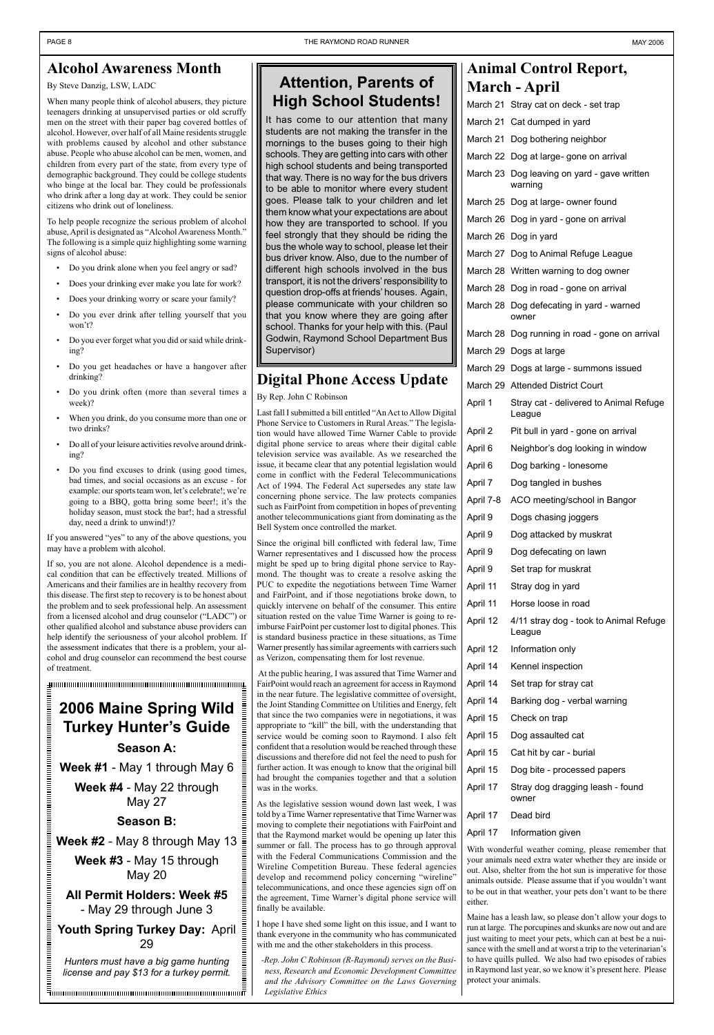### **Alcohol Awareness Month**

#### By Steve Danzig, LSW, LADC

When many people think of alcohol abusers, they picture teenagers drinking at unsupervised parties or old scruffy men on the street with their paper bag covered bottles of alcohol. However, over half of all Maine residents struggle with problems caused by alcohol and other substance abuse. People who abuse alcohol can be men, women, and children from every part of the state, from every type of demographic background. They could be college students who binge at the local bar. They could be professionals who drink after a long day at work. They could be senior citizens who drink out of loneliness.

To help people recognize the serious problem of alcohol abuse, April is designated as "Alcohol Awareness Month." The following is a simple quiz highlighting some warning signs of alcohol abuse:

- Do you drink alone when you feel angry or sad?
- Does your drinking ever make you late for work?
- Does your drinking worry or scare your family?
- Do you ever drink after telling yourself that you won't?
- Do you ever forget what you did or said while drinking?
- Do you get headaches or have a hangover after drinking?
- Do you drink often (more than several times a week)?
- When you drink, do you consume more than one or two drinks?
- Do all of your leisure activities revolve around drinking?
- Do you find excuses to drink (using good times, bad times, and social occasions as an excuse - for example: our sports team won, let's celebrate!; we're going to a BBQ, gotta bring some beer!; it's the holiday season, must stock the bar!; had a stressful day, need a drink to unwind!)?

If you answered "yes" to any of the above questions, you may have a problem with alcohol.

If so, you are not alone. Alcohol dependence is a medical condition that can be effectively treated. Millions of Americans and their families are in healthy recovery from this disease. The first step to recovery is to be honest about the problem and to seek professional help. An assessment from a licensed alcohol and drug counselor ("LADC") or other qualified alcohol and substance abuse providers can help identify the seriousness of your alcohol problem. If the assessment indicates that there is a problem, your alcohol and drug counselor can recommend the best course of treatment.

**Thummmmmmmmmmmmmmmmmmmmmmmmmmmmmmmmm** 

### **Animal Control Report, March - April**

|           | March 21 Stray cat on deck - set trap                  |
|-----------|--------------------------------------------------------|
|           | March 21 Cat dumped in yard                            |
|           | March 21 Dog bothering neighbor                        |
|           | March 22 Dog at large- gone on arrival                 |
|           | March 23 Dog leaving on yard - gave written<br>warning |
|           | March 25 Dog at large- owner found                     |
|           | March 26 Dog in yard - gone on arrival                 |
|           | March 26 Dog in yard                                   |
|           | March 27 Dog to Animal Refuge League                   |
|           | March 28 Written warning to dog owner                  |
|           | March 28 Dog in road - gone on arrival                 |
|           | March 28 Dog defecating in yard - warned<br>owner      |
|           | March 28 Dog running in road - gone on arrival         |
|           | March 29 Dogs at large                                 |
|           | March 29 Dogs at large - summons issued                |
|           | March 29 Attended District Court                       |
| April 1   | Stray cat - delivered to Animal Refuge<br>League       |
| April 2   | Pit bull in yard - gone on arrival                     |
| April 6   | Neighbor's dog looking in window                       |
| April 6   | Dog barking - lonesome                                 |
| April 7   | Dog tangled in bushes                                  |
| April 7-8 | ACO meeting/school in Bangor                           |
| April 9   | Dogs chasing joggers                                   |
| April 9   | Dog attacked by muskrat                                |
| April 9   | Dog defecating on lawn                                 |
| April 9   | Set trap for muskrat                                   |
| April 11  | Stray dog in yard                                      |
| April 11  | Horse loose in road                                    |
| April 12  | 4/11 stray dog - took to Animal Refuge<br>League       |
| April 12  | Information only                                       |
| April 14  | Kennel inspection                                      |
| April 14  | Set trap for stray cat                                 |
| April 14  | Barking dog - verbal warning                           |
| April 15  | Check on trap                                          |
| April 15  | Dog assaulted cat                                      |
| April 15  | Cat hit by car - burial                                |
| April 15  | Dog bite - processed papers                            |

### **Attention, Parents of High School Students!**

It has come to our attention that many students are not making the transfer in the mornings to the buses going to their high schools. They are getting into cars with other high school students and being transported that way. There is no way for the bus drivers to be able to monitor where every student goes. Please talk to your children and let them know what your expectations are about how they are transported to school. If you feel strongly that they should be riding the bus the whole way to school, please let their bus driver know. Also, due to the number of different high schools involved in the bus transport, it is not the drivers' responsibility to question drop-offs at friends' houses. Again, please communicate with your children so that you know where they are going after school. Thanks for your help with this. (Paul Godwin, Raymond School Department Bus Supervisor)

### **Digital Phone Access Update**

By Rep. John C Robinson

Last fall I submitted a bill entitled "An Act to Allow Digital Phone Service to Customers in Rural Areas." The legislation would have allowed Time Warner Cable to provide digital phone service to areas where their digital cable television service was available. As we researched the issue, it became clear that any potential legislation would come in conflict with the Federal Telecommunications Act of 1994. The Federal Act supersedes any state law concerning phone service. The law protects companies such as FairPoint from competition in hopes of preventing another telecommunications giant from dominating as the Bell System once controlled the market.

| Week #4 - May 22 through                                                          | maa orought the companies together and that a solution<br>was in the works.                                                                                                          | April 17                                                               | Stray dog dragging leash - found                                                                                                                                                                                                                          |  |  |
|-----------------------------------------------------------------------------------|--------------------------------------------------------------------------------------------------------------------------------------------------------------------------------------|------------------------------------------------------------------------|-----------------------------------------------------------------------------------------------------------------------------------------------------------------------------------------------------------------------------------------------------------|--|--|
| May 27                                                                            | As the legislative session wound down last week, I was                                                                                                                               |                                                                        | owner                                                                                                                                                                                                                                                     |  |  |
| <b>Season B:</b>                                                                  | told by a Time Warner representative that Time Warner was<br>moving to complete their negotiations with FairPoint and                                                                | April 17                                                               | Dead bird                                                                                                                                                                                                                                                 |  |  |
| Week #2 - May 8 through May 13                                                    | that the Raymond market would be opening up later this<br>summer or fall. The process has to go through approval                                                                     | April 17                                                               | Information given<br>With wonderful weather coming, please remember that                                                                                                                                                                                  |  |  |
| Week #3 - May 15 through<br><b>May 20</b>                                         | with the Federal Communications Commission and the<br>Wireline Competition Bureau. These federal agencies<br>develop and recommend policy concerning "wireline"                      |                                                                        | your animals need extra water whether they are inside or<br>out. Also, shelter from the hot sun is imperative for those<br>animals outside. Please assume that if you wouldn't want                                                                       |  |  |
| All Permit Holders: Week #5<br>- May 29 through June 3                            | telecommunications, and once these agencies sign off on<br>the agreement, Time Warner's digital phone service will<br>finally be available.                                          | to be out in that weather, your pets don't want to be there<br>either. |                                                                                                                                                                                                                                                           |  |  |
| Youth Spring Turkey Day: April                                                    | I hope I have shed some light on this issue, and I want to<br>thank everyone in the community who has communicated<br>with me and the other stakeholders in this process.            |                                                                        | Maine has a leash law, so please don't allow your dogs to<br>run at large. The porcupines and skunks are now out and are<br>just waiting to meet your pets, which can at best be a nui-<br>sance with the smell and at worst a trip to the veterinarian's |  |  |
| Hunters must have a big game hunting<br>license and pay \$13 for a turkey permit. | -Rep. John C Robinson (R-Raymond) serves on the Busi-<br>ness, Research and Economic Development Committee<br>and the Advisory Committee on the Laws Governing<br>Legislative Ethics | protect your animals.                                                  | to have quills pulled. We also had two episodes of rabies<br>in Raymond last year, so we know it's present here. Please                                                                                                                                   |  |  |

Since the original bill conflicted with federal law, Time Warner representatives and I discussed how the process might be sped up to bring digital phone service to Raymond. The thought was to create a resolve asking the PUC to expedite the negotiations between Time Warner and FairPoint, and if those negotiations broke down, to quickly intervene on behalf of the consumer. This entire situation rested on the value Time Warner is going to reimburse FairPoint per customer lost to digital phones. This is standard business practice in these situations, as Time Warner presently has similar agreements with carriers such as Verizon, compensating them for lost revenue.

 At the public hearing, I was assured that Time Warner and FairPoint would reach an agreement for access in Raymond in the near future. The legislative committee of oversight, the Joint Standing Committee on Utilities and Energy, felt that since the two companies were in negotiations, it was appropriate to "kill" the bill, with the understanding that service would be coming soon to Raymond. I also felt confident that a resolution would be reached through these discussions and therefore did not feel the need to push for further action. It was enough to know that the original bill had brought the companies together and that a solution

# **2006 Maine Spring Wild Turkey Hunter's Guide Season A:**

понительно полности полно

**Week #1** - May 1 through May 6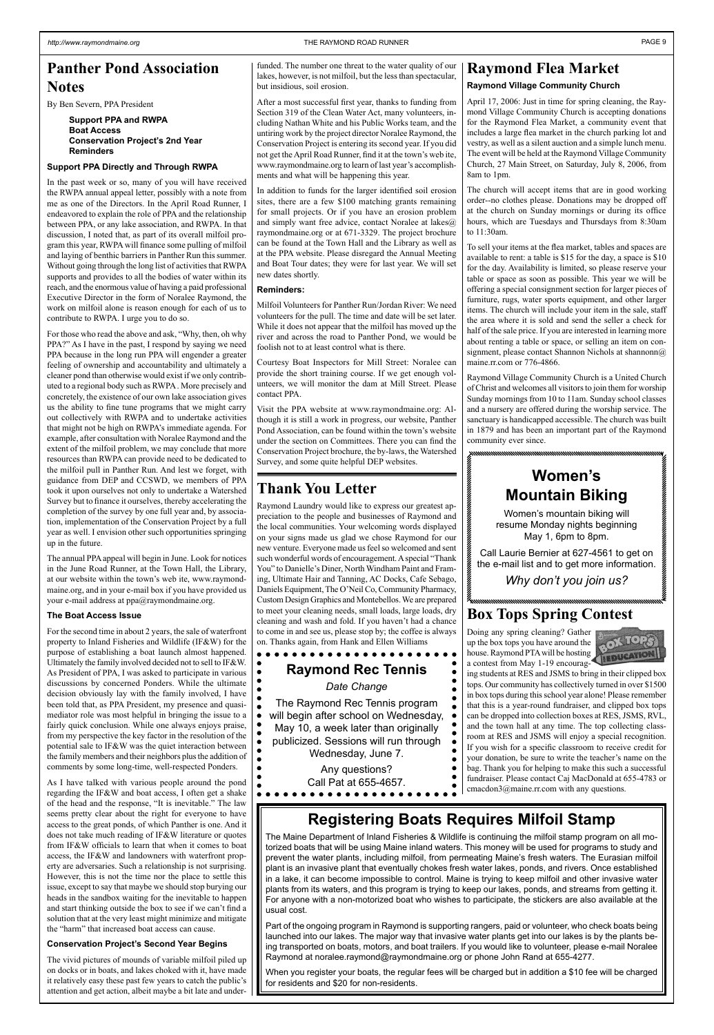### **Panther Pond Association Notes**

By Ben Severn, PPA President

#### **Support PPA and RWPA Boat Access Conservation Project's 2nd Year Reminders**

#### **Support PPA Directly and Through RWPA**

In the past week or so, many of you will have received the RWPA annual appeal letter, possibly with a note from me as one of the Directors. In the April Road Runner, I endeavored to explain the role of PPA and the relationship between PPA, or any lake association, and RWPA. In that discussion, I noted that, as part of its overall milfoil program this year, RWPA will finance some pulling of milfoil and laying of benthic barriers in Panther Run this summer. Without going through the long list of activities that RWPA supports and provides to all the bodies of water within its reach, and the enormous value of having a paid professional Executive Director in the form of Noralee Raymond, the work on milfoil alone is reason enough for each of us to contribute to RWPA. I urge you to do so.

For those who read the above and ask, "Why, then, oh why PPA?" As I have in the past, I respond by saying we need PPA because in the long run PPA will engender a greater feeling of ownership and accountability and ultimately a cleaner pond than otherwise would exist if we only contributed to a regional body such as RWPA . More precisely and concretely, the existence of our own lake association gives us the ability to fine tune programs that we might carry out collectively with RWPA and to undertake activities that might not be high on RWPA's immediate agenda. For example, after consultation with Noralee Raymond and the extent of the milfoil problem, we may conclude that more resources than RWPA can provide need to be dedicated to the milfoil pull in Panther Run. And lest we forget, with guidance from DEP and CCSWD, we members of PPA took it upon ourselves not only to undertake a Watershed Survey but to finance it ourselves, thereby accelerating the completion of the survey by one full year and, by association, implementation of the Conservation Project by a full year as well. I envision other such opportunities springing up in the future.

 $\bullet$ As I have talked with various people around the pond regarding the IF&W and boat access, I often get a shake of the head and the response, "It is inevitable." The law seems pretty clear about the right for everyone to have access to the great ponds, of which Panther is one. And it does not take much reading of IF&W literature or quotes from IF&W officials to learn that when it comes to boat access, the IF&W and landowners with waterfront property are adversaries. Such a relationship is not surprising. However, this is not the time nor the place to settle this issue, except to say that maybe we should stop burying our heads in the sandbox waiting for the inevitable to happen and start thinking outside the box to see if we can't find a solution that at the very least might minimize and mitigate the "harm" that increased boat access can cause.

The annual PPA appeal will begin in June. Look for notices in the June Road Runner, at the Town Hall, the Library, at our website within the town's web ite, www.raymondmaine.org, and in your e-mail box if you have provided us your e-mail address at ppa@raymondmaine.org.

#### **The Boat Access Issue**

For the second time in about 2 years, the sale of waterfront property to Inland Fisheries and Wildlife (IF&W) for the purpose of establishing a boat launch almost happened. Ultimately the family involved decided not to sell to IF&W. As President of PPA, I was asked to participate in various discussions by concerned Ponders. While the ultimate decision obviously lay with the family involved, I have been told that, as PPA President, my presence and quasimediator role was most helpful in bringing the issue to a fairly quick conclusion. While one always enjoys praise, from my perspective the key factor in the resolution of the potential sale to IF&W was the quiet interaction between the family members and their neighbors plus the addition of comments by some long-time, well-respected Ponders.

#### **Conservation Project's Second Year Begins**

The vivid pictures of mounds of variable milfoil piled up on docks or in boats, and lakes choked with it, have made it relatively easy these past few years to catch the public's attention and get action, albeit maybe a bit late and under-

funded. The number one threat to the water quality of our lakes, however, is not milfoil, but the less than spectacular, but insidious, soil erosion.

> To sell your items at the flea market, tables and spaces are available to rent: a table is \$15 for the day, a space is \$10 for the day. Availability is limited, so please reserve your table or space as soon as possible. This year we will be offering a special consignment section for larger pieces of furniture, rugs, water sports equipment, and other larger items. The church will include your item in the sale, staff the area where it is sold and send the seller a check for half of the sale price. If you are interested in learning more about renting a table or space, or selling an item on consignment, please contact Shannon Nichols at shannonn@ maine.rr.com or 776-4866.

After a most successful first year, thanks to funding from Section 319 of the Clean Water Act, many volunteers, including Nathan White and his Public Works team, and the untiring work by the project director Noralee Raymond, the Conservation Project is entering its second year. If you did not get the April Road Runner, find it at the town's web ite, www.raymondmaine.org to learn of last year's accomplishments and what will be happening this year.

In addition to funds for the larger identified soil erosion sites, there are a few \$100 matching grants remaining for small projects. Or if you have an erosion problem and simply want free advice, contact Noralee at lakes@ raymondmaine.org or at 671-3329. The project brochure can be found at the Town Hall and the Library as well as at the PPA website. Please disregard the Annual Meeting and Boat Tour dates; they were for last year. We will set new dates shortly.

#### **Reminders:**

Milfoil Volunteers for Panther Run/Jordan River: We need volunteers for the pull. The time and date will be set later. While it does not appear that the milfoil has moved up the river and across the road to Panther Pond, we would be foolish not to at least control what is there.

Courtesy Boat Inspectors for Mill Street: Noralee can provide the short training course. If we get enough volunteers, we will monitor the dam at Mill Street. Please contact PPA.

Visit the PPA website at www.raymondmaine.org: Although it is still a work in progress, our website, Panther Pond Association, can be found within the town's website under the section on Committees. There you can find the Conservation Project brochure, the by-laws, the Watershed Survey, and some quite helpful DEP websites.

### **Box Tops Spring Contest**

Doing any spring cleaning? Gather up the box tops you have around the house. Raymond PTA will be hosting a contest from May 1-19 encourag-



ing students at RES and JSMS to bring in their clipped box tops. Our community has collectively turned in over \$1500 in box tops during this school year alone! Please remember that this is a year-round fundraiser, and clipped box tops can be dropped into collection boxes at RES, JSMS, RVL, and the town hall at any time. The top collecting classroom at RES and JSMS will enjoy a special recognition. If you wish for a specific classroom to receive credit for your donation, be sure to write the teacher's name on the bag. Thank you for helping to make this such a successful fundraiser. Please contact Caj MacDonald at 655-4783 or

cmacdon3@maine.rr.com with any questions.

### **Registering Boats Requires Milfoil Stamp**

The Maine Department of Inland Fisheries & Wildlife is continuing the milfoil stamp program on all motorized boats that will be using Maine inland waters. This money will be used for programs to study and prevent the water plants, including milfoil, from permeating Maine's fresh waters. The Eurasian milfoil plant is an invasive plant that eventually chokes fresh water lakes, ponds, and rivers. Once established in a lake, it can become impossible to control. Maine is trying to keep milfoil and other invasive water plants from its waters, and this program is trying to keep our lakes, ponds, and streams from getting it. For anyone with a non-motorized boat who wishes to participate, the stickers are also available at the usual cost.

Part of the ongoing program in Raymond is supporting rangers, paid or volunteer, who check boats being launched into our lakes. The major way that invasive water plants get into our lakes is by the plants being transported on boats, motors, and boat trailers. If you would like to volunteer, please e-mail Noralee Raymond at noralee.raymond@raymondmaine.org or phone John Rand at 655-4277.

When you register your boats, the regular fees will be charged but in addition a \$10 fee will be charged for residents and \$20 for non-residents.

### **Women's Mountain Biking**

Women's mountain biking will resume Monday nights beginning May 1, 6pm to 8pm.

Call Laurie Bernier at 627-4561 to get on the e-mail list and to get more information.

*Why don't you join us?*

### **Raymond Flea Market**

#### **Raymond Village Community Church**

April 17, 2006: Just in time for spring cleaning, the Raymond Village Community Church is accepting donations for the Raymond Flea Market, a community event that includes a large flea market in the church parking lot and vestry, as well as a silent auction and a simple lunch menu. The event will be held at the Raymond Village Community Church, 27 Main Street, on Saturday, July 8, 2006, from 8am to 1pm.

The church will accept items that are in good working order--no clothes please. Donations may be dropped off at the church on Sunday mornings or during its office hours, which are Tuesdays and Thursdays from 8:30am to 11:30am.

Raymond Village Community Church is a United Church of Christ and welcomes all visitors to join them for worship Sunday mornings from 10 to 11am. Sunday school classes and a nursery are offered during the worship service. The sanctuary is handicapped accessible. The church was built in 1879 and has been an important part of the Raymond community ever since.

### **Thank You Letter**

Raymond Laundry would like to express our greatest appreciation to the people and businesses of Raymond and the local communities. Your welcoming words displayed on your signs made us glad we chose Raymond for our new venture. Everyone made us feel so welcomed and sent such wonderful words of encouragement. A special "Thank You" to Danielle's Diner, North Windham Paint and Framing, Ultimate Hair and Tanning, AC Docks, Cafe Sebago, Daniels Equipment, The O'Neil Co, Community Pharmacy, Custom Design Graphics and Montebellos. We are prepared to meet your cleaning needs, small loads, large loads, dry cleaning and wash and fold. If you haven't had a chance to come in and see us, please stop by; the coffee is always on. Thanks again, from Hank and Ellen Williams

### **Raymond Rec Tennis**

*Date Change*

The Raymond Rec Tennis program will begin after school on Wednesday, May 10, a week later than originally publicized. Sessions will run through Wednesday, June 7.

> Any questions? Call Pat at 655-4657.

 $\bullet$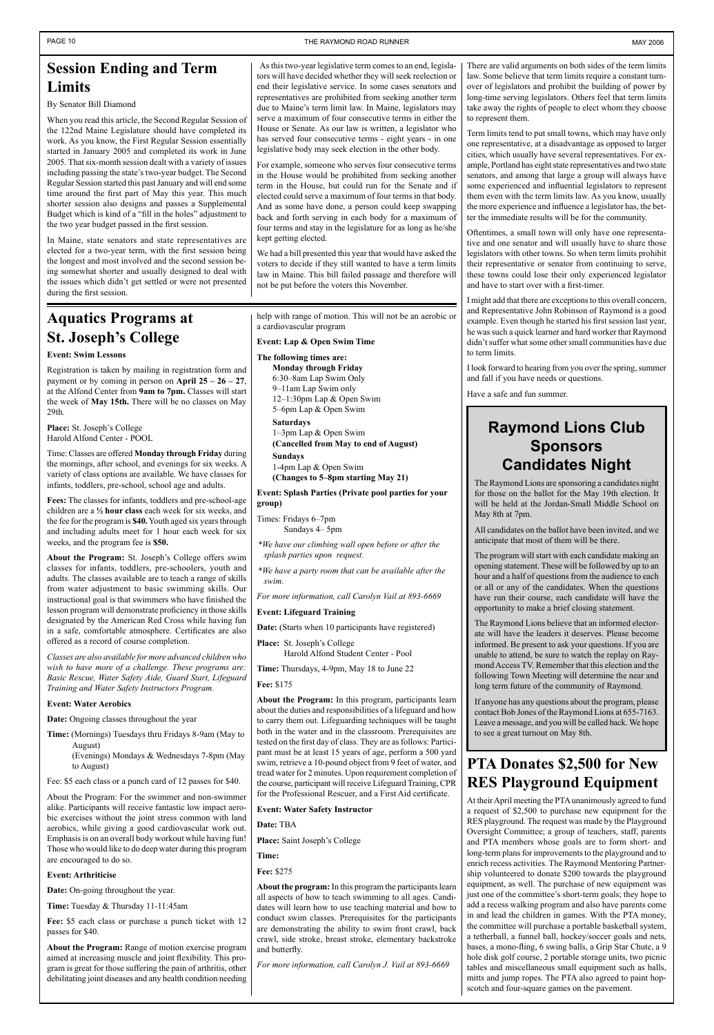### **Aquatics Programs at St. Joseph's College**

### **Event: Swim Lessons**

Registration is taken by mailing in registration form and payment or by coming in person on **April 25 – 26 – 27**, at the Alfond Center from **9am to 7pm.** Classes will start the week of **May 15th.** There will be no classes on May 29th.

**Place:** St. Joseph's College Harold Alfond Center - POOL

Time: Classes are offered **Monday through Friday** during the mornings, after school, and evenings for six weeks. A variety of class options are available. We have classes for infants, toddlers, pre-school, school age and adults.

**Fees:** The classes for infants, toddlers and pre-school-age children are a **½ hour class** each week for six weeks, and the fee for the program is **\$40.** Youth aged six years through and including adults meet for 1 hour each week for six weeks, and the program fee is **\$50.**

**About the Program:** St. Joseph's College offers swim classes for infants, toddlers, pre-schoolers, youth and adults. The classes available are to teach a range of skills from water adjustment to basic swimming skills. Our instructional goal is that swimmers who have finished the lesson program will demonstrate proficiency in those skills designated by the American Red Cross while having fun in a safe, comfortable atmosphere. Certificates are also offered as a record of course completion.

*Classes are also available for more advanced children who wish to have more of a challenge. These programs are: Basic Rescue, Water Safety Aide, Guard Start, Lifeguard Training and Water Safety Instructors Program.*

#### **Event: Water Aerobics**

**Date:** Ongoing classes throughout the year

- **Time:** (Mornings) Tuesdays thru Fridays 8-9am (May to August) (Evenings) Mondays & Wednesdays 7-8pm (May
- to August) Fee: \$5 each class or a punch card of 12 passes for \$40.

About the Program: For the swimmer and non-swimmer alike. Participants will receive fantastic low impact aerobic exercises without the joint stress common with land aerobics, while giving a good cardiovascular work out. Emphasis is on an overall body workout while having fun! Those who would like to do deep water during this program are encouraged to do so.

#### **Event: Arthriticise**

**Date:** On-going throughout the year.

**Time:** Tuesday & Thursday 11-11:45am

**Fee:** \$5 each class or purchase a punch ticket with 12 passes for \$40.

**About the Program:** Range of motion exercise program aimed at increasing muscle and joint flexibility. This program is great for those suffering the pain of arthritis, other debilitating joint diseases and any health condition needing help with range of motion. This will not be an aerobic or a cardiovascular program

#### **Event: Lap & Open Swim Time**

**The following times are: Monday through Friday** 6:30–8am Lap Swim Only 9–11am Lap Swim only 12–1:30pm Lap & Open Swim

5–6pm Lap & Open Swim

**Saturdays** 1–3pm Lap & Open Swim **(Cancelled from May to end of August)**

**Sundays**

1-4pm Lap & Open Swim **(Changes to 5–8pm starting May 21)**

**Event: Splash Parties (Private pool parties for your group)**

Times: Fridays 6–7pm Sundays 4– 5pm

*\*We have our climbing wall open before or after the splash parties upon request.*

*\*We have a party room that can be available after the swim.*

*For more information, call Carolyn Vail at 893-6669*

#### **Event: Lifeguard Training**

**Date:** (Starts when 10 participants have registered)

**Place:** St. Joseph's College

Harold Alfond Student Center - Pool

**Time:** Thursdays, 4-9pm, May 18 to June 22

**Fee:** \$175

**About the Program:** In this program, participants learn about the duties and responsibilities of a lifeguard and how to carry them out. Lifeguarding techniques will be taught both in the water and in the classroom. Prerequisites are tested on the first day of class. They are as follows: Participant must be at least 15 years of age, perform a 500 yard swim, retrieve a 10-pound object from 9 feet of water, and tread water for 2 minutes. Upon requirement completion of the course, participant will receive Lifeguard Training, CPR for the Professional Rescuer, and a First Aid certificate.

#### **Event: Water Safety Instructor**

**Date:** TBA

**Place:** Saint Joseph's College

#### **Time:**

#### **Fee:** \$275

**About the program:** In this program the participants learn all aspects of how to teach swimming to all ages. Candidates will learn how to use teaching material and how to conduct swim classes. Prerequisites for the participants are demonstrating the ability to swim front crawl, back crawl, side stroke, breast stroke, elementary backstroke and butterfly.

*For more information, call Carolyn J. Vail at 893-6669*

### **Session Ending and Term Limits**

By Senator Bill Diamond

When you read this article, the Second Regular Session of the 122nd Maine Legislature should have completed its work. As you know, the First Regular Session essentially started in January 2005 and completed its work in June 2005. That six-month session dealt with a variety of issues including passing the state's two-year budget. The Second Regular Session started this past January and will end some time around the first part of May this year. This much shorter session also designs and passes a Supplemental Budget which is kind of a "fill in the holes" adjustment to the two year budget passed in the first session.

In Maine, state senators and state representatives are elected for a two-year term, with the first session being the longest and most involved and the second session being somewhat shorter and usually designed to deal with the issues which didn't get settled or were not presented during the first session.

> **PTA Donates \$2,500 for New RES Playground Equipment**

At their April meeting the PTA unanimously agreed to fund a request of \$2,500 to purchase new equipment for the RES playground. The request was made by the Playground Oversight Committee; a group of teachers, staff, parents and PTA members whose goals are to form short- and long-term plans for improvements to the playground and to enrich recess activities. The Raymond Mentoring Partnership volunteered to donate \$200 towards the playground equipment, as well. The purchase of new equipment was just one of the committee's short-term goals; they hope to add a recess walking program and also have parents come in and lead the children in games. With the PTA money, the committee will purchase a portable basketball system, a tetherball, a funnel ball, hockey/soccer goals and nets, bases, a mono-fling, 6 swing balls, a Grip Star Chute, a 9 hole disk golf course, 2 portable storage units, two picnic tables and miscellaneous small equipment such as balls, mitts and jump ropes. The PTA also agreed to paint hopscotch and four-square games on the pavement.

 As this two-year legislative term comes to an end, legislators will have decided whether they will seek reelection or end their legislative service. In some cases senators and representatives are prohibited from seeking another term due to Maine's term limit law. In Maine, legislators may serve a maximum of four consecutive terms in either the House or Senate. As our law is written, a legislator who has served four consecutive terms - eight years - in one legislative body may seek election in the other body.

For example, someone who serves four consecutive terms in the House would be prohibited from seeking another term in the House, but could run for the Senate and if elected could serve a maximum of four terms in that body. And as some have done, a person could keep swapping back and forth serving in each body for a maximum of four terms and stay in the legislature for as long as he/she kept getting elected.

We had a bill presented this year that would have asked the voters to decide if they still wanted to have a term limits law in Maine. This bill failed passage and therefore will not be put before the voters this November.

There are valid arguments on both sides of the term limits law. Some believe that term limits require a constant turnover of legislators and prohibit the building of power by long-time serving legislators. Others feel that term limits take away the rights of people to elect whom they choose to represent them.

Term limits tend to put small towns, which may have only one representative, at a disadvantage as opposed to larger cities, which usually have several representatives. For example, Portland has eight state representatives and two state senators, and among that large a group will always have some experienced and influential legislators to represent them even with the term limits law. As you know, usually the more experience and influence a legislator has, the better the immediate results will be for the community.

Oftentimes, a small town will only have one representative and one senator and will usually have to share those legislators with other towns. So when term limits prohibit their representative or senator from continuing to serve, these towns could lose their only experienced legislator and have to start over with a first-timer.

I might add that there are exceptions to this overall concern, and Representative John Robinson of Raymond is a good example. Even though he started his first session last year, he was such a quick learner and hard worker that Raymond didn't suffer what some other small communities have due to term limits.

I look forward to hearing from you over the spring, summer and fall if you have needs or questions.

Have a safe and fun summer.

### **Raymond Lions Club Sponsors Candidates Night**

The Raymond Lions are sponsoring a candidates night for those on the ballot for the May 19th election. It will be held at the Jordan-Small Middle School on May 8th at 7pm.

All candidates on the ballot have been invited, and we anticipate that most of them will be there.

The program will start with each candidate making an opening statement. These will be followed by up to an hour and a half of questions from the audience to each or all or any of the candidates. When the questions have run their course, each candidate will have the opportunity to make a brief closing statement.

The Raymond Lions believe that an informed electorate will have the leaders it deserves. Please become informed. Be present to ask your questions. If you are unable to attend, be sure to watch the replay on Raymond Access TV. Remember that this election and the following Town Meeting will determine the near and long term future of the community of Raymond.

If anyone has any questions about the program, please contact Bob Jones of the Raymond Lions at 655-7163. Leave a message, and you will be called back. We hope to see a great turnout on May 8th.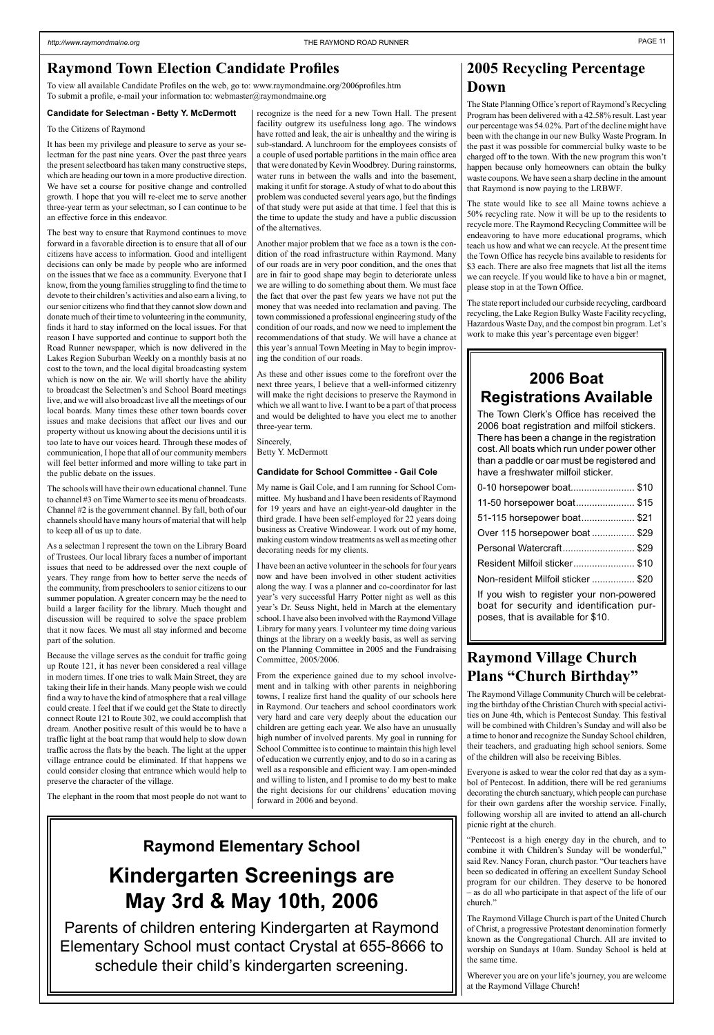### **2006 Boat Registrations Available**

| 0-10 horsepower boat \$10                                                             |
|---------------------------------------------------------------------------------------|
| 11-50 horsepower boat \$15                                                            |
| 51-115 horsepower boat \$21                                                           |
| Over 115 horsepower boat  \$29                                                        |
| Personal Watercraft \$29                                                              |
| Resident Milfoil sticker \$10                                                         |
| Non-resident Milfoil sticker  \$20                                                    |
| If you wish to register your non-powered<br>boat for security and identification pur- |

The Town Clerk's Office has received the 2006 boat registration and milfoil stickers. There has been a change in the registration cost. All boats which run under power other than a paddle or oar must be registered and have a freshwater milfoil sticker.

poses, that is available for \$10.

### **Raymond Village Church Plans "Church Birthday"**

The Raymond Village Community Church will be celebrating the birthday of the Christian Church with special activities on June 4th, which is Pentecost Sunday. This festival will be combined with Children's Sunday and will also be a time to honor and recognize the Sunday School children, their teachers, and graduating high school seniors. Some of the children will also be receiving Bibles.

Everyone is asked to wear the color red that day as a symbol of Pentecost. In addition, there will be red geraniums decorating the church sanctuary, which people can purchase for their own gardens after the worship service. Finally, following worship all are invited to attend an all-church picnic right at the church.

"Pentecost is a high energy day in the church, and to combine it with Children's Sunday will be wonderful," said Rev. Nancy Foran, church pastor. "Our teachers have been so dedicated in offering an excellent Sunday School program for our children. They deserve to be honored – as do all who participate in that aspect of the life of our church."

The Raymond Village Church is part of the United Church of Christ, a progressive Protestant denomination formerly known as the Congregational Church. All are invited to worship on Sundays at 10am. Sunday School is held at the same time.

Wherever you are on your life's journey, you are welcome at the Raymond Village Church!

#### **Candidate for Selectman - Betty Y. McDermott**

#### To the Citizens of Raymond

It has been my privilege and pleasure to serve as your selectman for the past nine years. Over the past three years the present selectboard has taken many constructive steps, which are heading our town in a more productive direction. We have set a course for positive change and controlled growth. I hope that you will re-elect me to serve another three-year term as your selectman, so I can continue to be an effective force in this endeavor.

The best way to ensure that Raymond continues to move forward in a favorable direction is to ensure that all of our citizens have access to information. Good and intelligent decisions can only be made by people who are informed on the issues that we face as a community. Everyone that I know, from the young families struggling to find the time to devote to their children's activities and also earn a living, to our senior citizens who find that they cannot slow down and donate much of their time to volunteering in the community, finds it hard to stay informed on the local issues. For that reason I have supported and continue to support both the Road Runner newspaper, which is now delivered in the Lakes Region Suburban Weekly on a monthly basis at no cost to the town, and the local digital broadcasting system which is now on the air. We will shortly have the ability to broadcast the Selectmen's and School Board meetings live, and we will also broadcast live all the meetings of our local boards. Many times these other town boards cover issues and make decisions that affect our lives and our property without us knowing about the decisions until it is too late to have our voices heard. Through these modes of communication, I hope that all of our community members will feel better informed and more willing to take part in the public debate on the issues.

The schools will have their own educational channel. Tune to channel #3 on Time Warner to see its menu of broadcasts. Channel #2 is the government channel. By fall, both of our channels should have many hours of material that will help to keep all of us up to date.

As a selectman I represent the town on the Library Board of Trustees. Our local library faces a number of important issues that need to be addressed over the next couple of years. They range from how to better serve the needs of the community, from preschoolers to senior citizens to our summer population. A greater concern may be the need to build a larger facility for the library. Much thought and discussion will be required to solve the space problem that it now faces. We must all stay informed and become part of the solution.

Because the village serves as the conduit for traffic going up Route 121, it has never been considered a real village in modern times. If one tries to walk Main Street, they are taking their life in their hands. Many people wish we could find a way to have the kind of atmosphere that a real village could create. I feel that if we could get the State to directly connect Route 121 to Route 302, we could accomplish that dream. Another positive result of this would be to have a traffic light at the boat ramp that would help to slow down traffic across the flats by the beach. The light at the upper village entrance could be eliminated. If that happens we could consider closing that entrance which would help to preserve the character of the village.

The elephant in the room that most people do not want to

recognize is the need for a new Town Hall. The present facility outgrew its usefulness long ago. The windows have rotted and leak, the air is unhealthy and the wiring is sub-standard. A lunchroom for the employees consists of a couple of used portable partitions in the main office area that were donated by Kevin Woodbrey. During rainstorms, water runs in between the walls and into the basement, making it unfit for storage. A study of what to do about this problem was conducted several years ago, but the findings of that study were put aside at that time. I feel that this is the time to update the study and have a public discussion of the alternatives.

Another major problem that we face as a town is the condition of the road infrastructure within Raymond. Many of our roads are in very poor condition, and the ones that are in fair to good shape may begin to deteriorate unless we are willing to do something about them. We must face the fact that over the past few years we have not put the money that was needed into reclamation and paving. The town commissioned a professional engineering study of the condition of our roads, and now we need to implement the recommendations of that study. We will have a chance at this year's annual Town Meeting in May to begin improving the condition of our roads.

As these and other issues come to the forefront over the next three years, I believe that a well-informed citizenry will make the right decisions to preserve the Raymond in which we all want to live. I want to be a part of that process and would be delighted to have you elect me to another three-year term.

Sincerely, Betty Y. McDermott

#### **Candidate for School Committee - Gail Cole**

My name is Gail Cole, and I am running for School Committee. My husband and I have been residents of Raymond for 19 years and have an eight-year-old daughter in the third grade. I have been self-employed for 22 years doing business as Creative Windowear. I work out of my home, making custom window treatments as well as meeting other decorating needs for my clients.

I have been an active volunteer in the schools for four years now and have been involved in other student activities along the way. I was a planner and co-coordinator for last year's very successful Harry Potter night as well as this year's Dr. Seuss Night, held in March at the elementary school. I have also been involved with the Raymond Village Library for many years. I volunteer my time doing various things at the library on a weekly basis, as well as serving on the Planning Committee in 2005 and the Fundraising Committee, 2005/2006.

From the experience gained due to my school involvement and in talking with other parents in neighboring towns, I realize first hand the quality of our schools here in Raymond. Our teachers and school coordinators work very hard and care very deeply about the education our children are getting each year. We also have an unusually high number of involved parents. My goal in running for School Committee is to continue to maintain this high level of education we currently enjoy, and to do so in a caring as well as a responsible and efficient way. I am open-minded and willing to listen, and I promise to do my best to make the right decisions for our childrens' education moving forward in 2006 and beyond.

To view all available Candidate Profiles on the web, go to: www.raymondmaine.org/2006profiles.htm To submit a profile, e-mail your information to: webmaster@raymondmaine.org

### **Raymond Elementary School**

# **Kindergarten Screenings are May 3rd & May 10th, 2006**

Parents of children entering Kindergarten at Raymond Elementary School must contact Crystal at 655-8666 to schedule their child's kindergarten screening.

### **2005 Recycling Percentage Down**

The State Planning Office's report of Raymond's Recycling Program has been delivered with a 42.58% result. Last year our percentage was 54.02%. Part of the decline might have been with the change in our new Bulky Waste Program. In the past it was possible for commercial bulky waste to be charged off to the town. With the new program this won't happen because only homeowners can obtain the bulky waste coupons. We have seen a sharp decline in the amount that Raymond is now paying to the LRBWF.

The state would like to see all Maine towns achieve a 50% recycling rate. Now it will be up to the residents to recycle more. The Raymond Recycling Committee will be endeavoring to have more educational programs, which teach us how and what we can recycle. At the present time the Town Office has recycle bins available to residents for \$3 each. There are also free magnets that list all the items we can recycle. If you would like to have a bin or magnet, please stop in at the Town Office.

The state report included our curbside recycling, cardboard recycling, the Lake Region Bulky Waste Facility recycling, Hazardous Waste Day, and the compost bin program. Let's work to make this year's percentage even bigger!